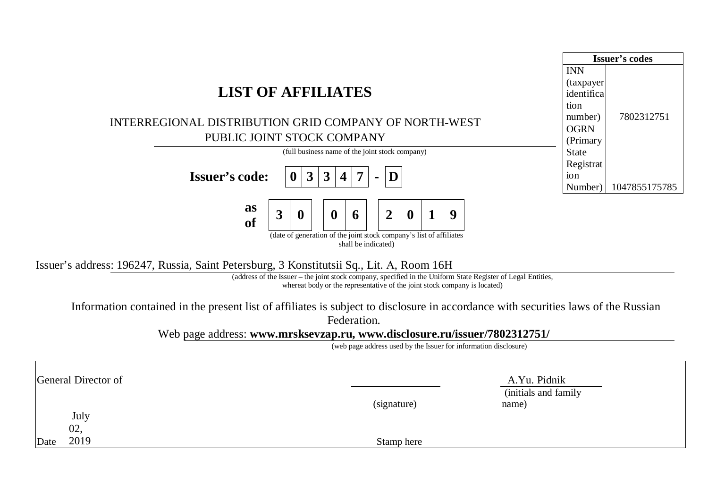

|  | 2019 | Stamp here |
|--|------|------------|
|--|------|------------|

Date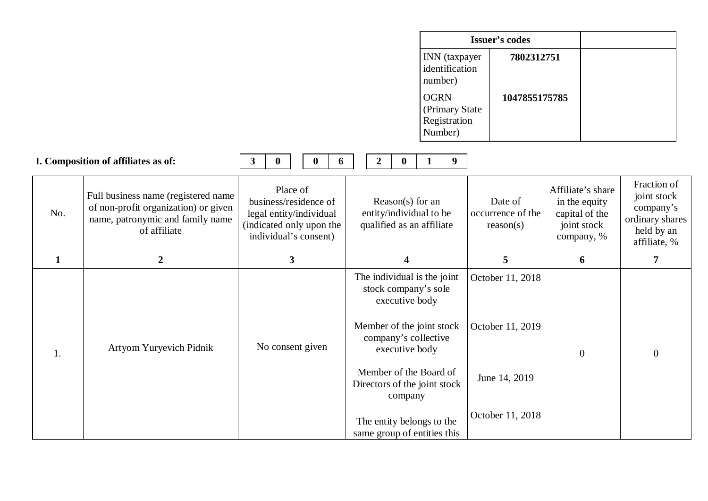|                                                           | Issuer's codes |
|-----------------------------------------------------------|----------------|
| <b>INN</b> (taxpayer<br>identification<br>number)         | 7802312751     |
| <b>OGRN</b><br>(Primary State)<br>Registration<br>Number) | 1047855175785  |

|     | I. Composition of affiliates as of:                                                                                              | 3 | $\bf{0}$ | $\mathbf{0}$                                                                                                     | O. | $\mathbf{2}$                                                                                                                                                                   | $\bf{0}$                                                                                    | 9 |                                                                           |                                                                                   |                                                                                          |
|-----|----------------------------------------------------------------------------------------------------------------------------------|---|----------|------------------------------------------------------------------------------------------------------------------|----|--------------------------------------------------------------------------------------------------------------------------------------------------------------------------------|---------------------------------------------------------------------------------------------|---|---------------------------------------------------------------------------|-----------------------------------------------------------------------------------|------------------------------------------------------------------------------------------|
| No. | Full business name (registered name)<br>of non-profit organization) or given<br>name, patronymic and family name<br>of affiliate |   |          | Place of<br>business/residence of<br>legal entity/individual<br>indicated only upon the<br>individual's consent) |    | entity/individual to be<br>qualified as an affiliate                                                                                                                           | Reason(s) for an                                                                            |   | Date of<br>occurrence of the<br>reason(s)                                 | Affiliate's share<br>in the equity<br>capital of the<br>joint stock<br>company, % | Fraction of<br>joint stock<br>company's<br>ordinary shares<br>held by an<br>affiliate, % |
| 1   | $\boldsymbol{2}$                                                                                                                 |   |          | 3                                                                                                                |    |                                                                                                                                                                                | 4                                                                                           |   | 5                                                                         | 6                                                                                 | 7                                                                                        |
| 1.  | Artyom Yuryevich Pidnik                                                                                                          |   |          | No consent given                                                                                                 |    | The individual is the joint<br>Member of the joint stock<br>Member of the Board of<br>Directors of the joint stock<br>The entity belongs to the<br>same group of entities this | stock company's sole<br>executive body<br>company's collective<br>executive body<br>company |   | October 11, 2018<br>October 11, 2019<br>June 14, 2019<br>October 11, 2018 | $\boldsymbol{0}$                                                                  | 0                                                                                        |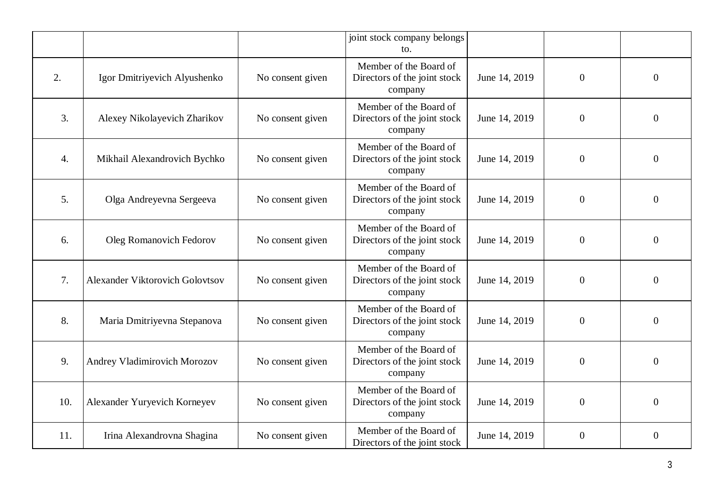|     |                                 |                  | joint stock company belongs<br>to.                                |               |                  |                  |
|-----|---------------------------------|------------------|-------------------------------------------------------------------|---------------|------------------|------------------|
| 2.  | Igor Dmitriyevich Alyushenko    | No consent given | Member of the Board of<br>Directors of the joint stock<br>company | June 14, 2019 | $\boldsymbol{0}$ | $\boldsymbol{0}$ |
| 3.  | Alexey Nikolayevich Zharikov    | No consent given | Member of the Board of<br>Directors of the joint stock<br>company | June 14, 2019 | $\boldsymbol{0}$ | $\boldsymbol{0}$ |
| 4.  | Mikhail Alexandrovich Bychko    | No consent given | Member of the Board of<br>Directors of the joint stock<br>company | June 14, 2019 | $\overline{0}$   | $\overline{0}$   |
| 5.  | Olga Andreyevna Sergeeva        | No consent given | Member of the Board of<br>Directors of the joint stock<br>company | June 14, 2019 | $\boldsymbol{0}$ | $\boldsymbol{0}$ |
| 6.  | Oleg Romanovich Fedorov         | No consent given | Member of the Board of<br>Directors of the joint stock<br>company | June 14, 2019 | $\boldsymbol{0}$ | $\boldsymbol{0}$ |
| 7.  | Alexander Viktorovich Golovtsov | No consent given | Member of the Board of<br>Directors of the joint stock<br>company | June 14, 2019 | $\boldsymbol{0}$ | $\overline{0}$   |
| 8.  | Maria Dmitriyevna Stepanova     | No consent given | Member of the Board of<br>Directors of the joint stock<br>company | June 14, 2019 | $\boldsymbol{0}$ | $\mathbf{0}$     |
| 9.  | Andrey Vladimirovich Morozov    | No consent given | Member of the Board of<br>Directors of the joint stock<br>company | June 14, 2019 | $\overline{0}$   | $\theta$         |
| 10. | Alexander Yuryevich Korneyev    | No consent given | Member of the Board of<br>Directors of the joint stock<br>company | June 14, 2019 | $\boldsymbol{0}$ | $\overline{0}$   |
| 11. | Irina Alexandrovna Shagina      | No consent given | Member of the Board of<br>Directors of the joint stock            | June 14, 2019 | $\overline{0}$   | $\theta$         |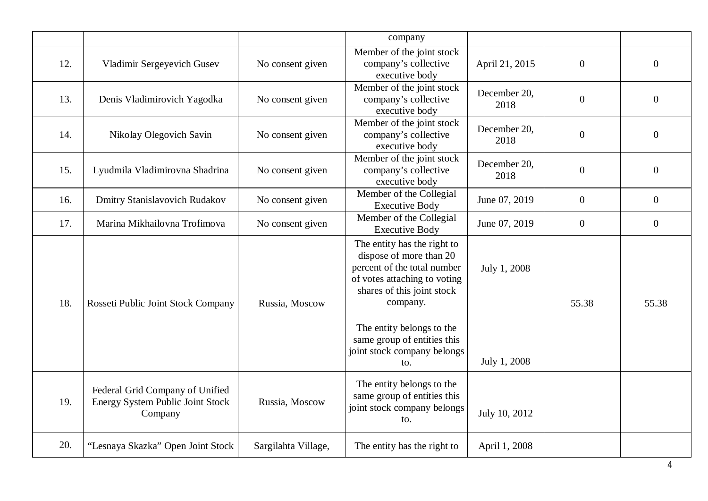|     |                                                                                |                     | company                                                                                                                                                                                                                                                           |                              |                  |                  |
|-----|--------------------------------------------------------------------------------|---------------------|-------------------------------------------------------------------------------------------------------------------------------------------------------------------------------------------------------------------------------------------------------------------|------------------------------|------------------|------------------|
| 12. | Vladimir Sergeyevich Gusev                                                     | No consent given    | Member of the joint stock<br>company's collective<br>executive body                                                                                                                                                                                               | April 21, 2015               | $\boldsymbol{0}$ | $\boldsymbol{0}$ |
| 13. | Denis Vladimirovich Yagodka                                                    | No consent given    | Member of the joint stock<br>company's collective<br>executive body                                                                                                                                                                                               | December 20,<br>2018         | $\boldsymbol{0}$ | $\boldsymbol{0}$ |
| 14. | Nikolay Olegovich Savin                                                        | No consent given    | Member of the joint stock<br>company's collective<br>executive body                                                                                                                                                                                               | December 20,<br>2018         | $\boldsymbol{0}$ | $\overline{0}$   |
| 15. | Lyudmila Vladimirovna Shadrina                                                 | No consent given    | Member of the joint stock<br>company's collective<br>executive body                                                                                                                                                                                               | December 20,<br>2018         | $\boldsymbol{0}$ | $\overline{0}$   |
| 16. | <b>Dmitry Stanislavovich Rudakov</b>                                           | No consent given    | Member of the Collegial<br><b>Executive Body</b>                                                                                                                                                                                                                  | June 07, 2019                | $\boldsymbol{0}$ | $\overline{0}$   |
| 17. | Marina Mikhailovna Trofimova                                                   | No consent given    | Member of the Collegial<br><b>Executive Body</b>                                                                                                                                                                                                                  | June 07, 2019                | $\overline{0}$   | $\overline{0}$   |
| 18. | Rosseti Public Joint Stock Company                                             | Russia, Moscow      | The entity has the right to<br>dispose of more than 20<br>percent of the total number<br>of votes attaching to voting<br>shares of this joint stock<br>company.<br>The entity belongs to the<br>same group of entities this<br>joint stock company belongs<br>to. | July 1, 2008<br>July 1, 2008 | 55.38            | 55.38            |
| 19. | Federal Grid Company of Unified<br>Energy System Public Joint Stock<br>Company | Russia, Moscow      | The entity belongs to the<br>same group of entities this<br>joint stock company belongs<br>to.                                                                                                                                                                    | July 10, 2012                |                  |                  |
| 20. | "Lesnaya Skazka" Open Joint Stock                                              | Sargilahta Village, | The entity has the right to                                                                                                                                                                                                                                       | April 1, 2008                |                  |                  |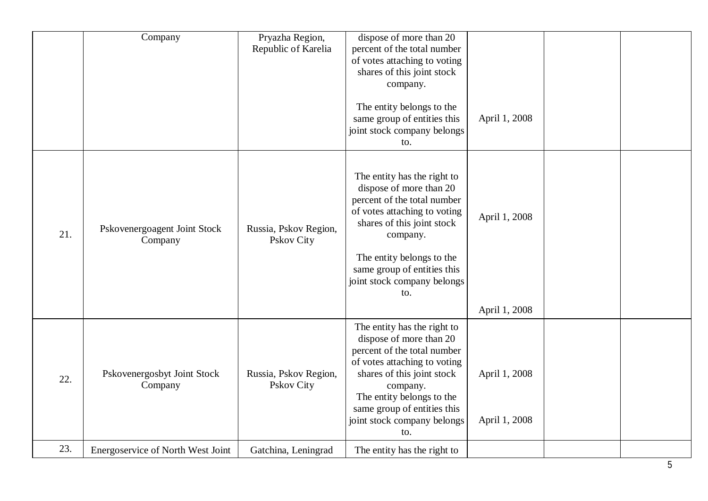|     | Company                                 | Pryazha Region,<br>Republic of Karelia     | dispose of more than 20<br>percent of the total number<br>of votes attaching to voting<br>shares of this joint stock<br>company.<br>The entity belongs to the<br>same group of entities this<br>joint stock company belongs<br>to.                                | April 1, 2008                  |  |
|-----|-----------------------------------------|--------------------------------------------|-------------------------------------------------------------------------------------------------------------------------------------------------------------------------------------------------------------------------------------------------------------------|--------------------------------|--|
| 21. | Pskovenergoagent Joint Stock<br>Company | Russia, Pskov Region,<br><b>Pskov City</b> | The entity has the right to<br>dispose of more than 20<br>percent of the total number<br>of votes attaching to voting<br>shares of this joint stock<br>company.<br>The entity belongs to the<br>same group of entities this<br>joint stock company belongs<br>to. | April 1, 2008<br>April 1, 2008 |  |
| 22. | Pskovenergosbyt Joint Stock<br>Company  | Russia, Pskov Region,<br><b>Pskov City</b> | The entity has the right to<br>dispose of more than 20<br>percent of the total number<br>of votes attaching to voting<br>shares of this joint stock<br>company.<br>The entity belongs to the<br>same group of entities this<br>joint stock company belongs<br>to. | April 1, 2008<br>April 1, 2008 |  |
| 23. | Energoservice of North West Joint       | Gatchina, Leningrad                        | The entity has the right to                                                                                                                                                                                                                                       |                                |  |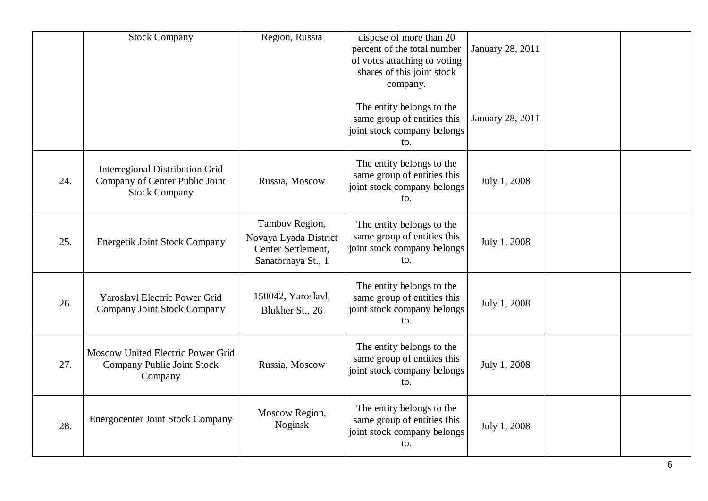|     | <b>Stock Company</b>                                                                             | Region, Russia                                                                      | dispose of more than 20<br>percent of the total number<br>of votes attaching to voting<br>shares of this joint stock<br>company.<br>The entity belongs to the | January 28, 2011 |  |
|-----|--------------------------------------------------------------------------------------------------|-------------------------------------------------------------------------------------|---------------------------------------------------------------------------------------------------------------------------------------------------------------|------------------|--|
|     |                                                                                                  |                                                                                     | same group of entities this<br>joint stock company belongs<br>to.                                                                                             | January 28, 2011 |  |
| 24. | <b>Interregional Distribution Grid</b><br>Company of Center Public Joint<br><b>Stock Company</b> | Russia, Moscow                                                                      | The entity belongs to the<br>same group of entities this<br>joint stock company belongs<br>to.                                                                | July 1, 2008     |  |
| 25. | <b>Energetik Joint Stock Company</b>                                                             | Tambov Region,<br>Novaya Lyada District<br>Center Settlement,<br>Sanatornaya St., 1 | The entity belongs to the<br>same group of entities this<br>joint stock company belongs<br>to.                                                                | July 1, 2008     |  |
| 26. | <b>Yaroslavl Electric Power Grid</b><br>Company Joint Stock Company                              | 150042, Yaroslavl,<br>Blukher St., 26                                               | The entity belongs to the<br>same group of entities this<br>joint stock company belongs<br>to.                                                                | July 1, 2008     |  |
| 27. | Moscow United Electric Power Grid<br>Company Public Joint Stock<br>Company                       | Russia, Moscow                                                                      | The entity belongs to the<br>same group of entities this<br>joint stock company belongs<br>to.                                                                | July 1, 2008     |  |
| 28. | <b>Energocenter Joint Stock Company</b>                                                          | Moscow Region,<br>Noginsk                                                           | The entity belongs to the<br>same group of entities this<br>joint stock company belongs<br>to.                                                                | July 1, 2008     |  |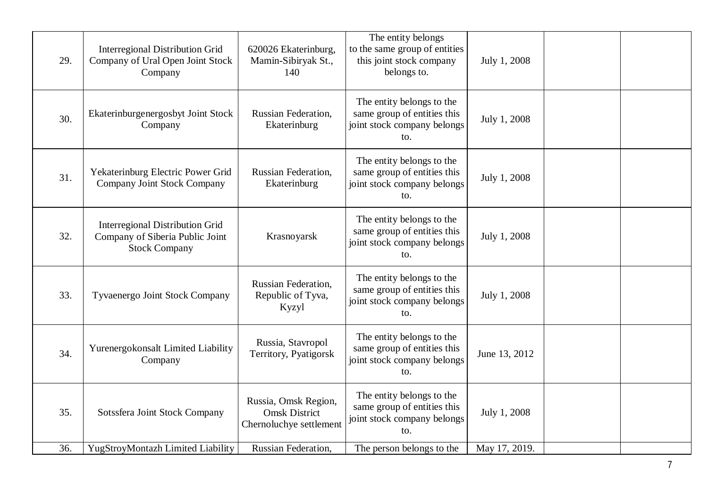| 29. | Interregional Distribution Grid<br>Company of Ural Open Joint Stock<br>Company                    | 620026 Ekaterinburg,<br>Mamin-Sibiryak St.,<br>140                      | The entity belongs<br>to the same group of entities<br>this joint stock company<br>belongs to. | July 1, 2008  |  |
|-----|---------------------------------------------------------------------------------------------------|-------------------------------------------------------------------------|------------------------------------------------------------------------------------------------|---------------|--|
| 30. | Ekaterinburgenergosbyt Joint Stock<br>Company                                                     | Russian Federation,<br>Ekaterinburg                                     | The entity belongs to the<br>same group of entities this<br>joint stock company belongs<br>to. | July 1, 2008  |  |
| 31. | Yekaterinburg Electric Power Grid<br>Company Joint Stock Company                                  | Russian Federation,<br>Ekaterinburg                                     | The entity belongs to the<br>same group of entities this<br>joint stock company belongs<br>to. | July 1, 2008  |  |
| 32. | <b>Interregional Distribution Grid</b><br>Company of Siberia Public Joint<br><b>Stock Company</b> | Krasnoyarsk                                                             | The entity belongs to the<br>same group of entities this<br>joint stock company belongs<br>to. | July 1, 2008  |  |
| 33. | <b>Tyvaenergo Joint Stock Company</b>                                                             | Russian Federation,<br>Republic of Tyva,<br>Kyzyl                       | The entity belongs to the<br>same group of entities this<br>joint stock company belongs<br>to. | July 1, 2008  |  |
| 34. | Yurenergokonsalt Limited Liability<br>Company                                                     | Russia, Stavropol<br>Territory, Pyatigorsk                              | The entity belongs to the<br>same group of entities this<br>joint stock company belongs<br>to. | June 13, 2012 |  |
| 35. | Sotssfera Joint Stock Company                                                                     | Russia, Omsk Region,<br><b>Omsk District</b><br>Chernoluchye settlement | The entity belongs to the<br>same group of entities this<br>joint stock company belongs<br>to. | July 1, 2008  |  |
| 36. | YugStroyMontazh Limited Liability                                                                 | Russian Federation,                                                     | The person belongs to the                                                                      | May 17, 2019. |  |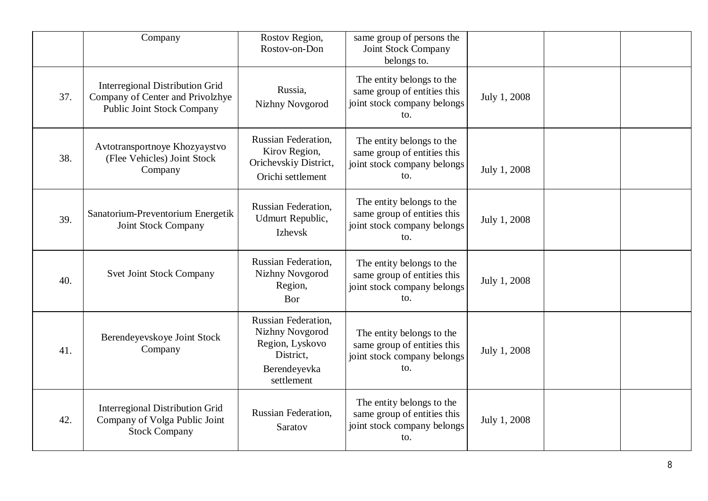|     | Company                                                                                                         | Rostov Region,<br>Rostov-on-Don                                                                      | same group of persons the<br>Joint Stock Company<br>belongs to.                                |              |  |
|-----|-----------------------------------------------------------------------------------------------------------------|------------------------------------------------------------------------------------------------------|------------------------------------------------------------------------------------------------|--------------|--|
| 37. | <b>Interregional Distribution Grid</b><br>Company of Center and Privolzhye<br><b>Public Joint Stock Company</b> | Russia,<br>Nizhny Novgorod                                                                           | The entity belongs to the<br>same group of entities this<br>joint stock company belongs<br>to. | July 1, 2008 |  |
| 38. | Avtotransportnoye Khozyaystvo<br>(Flee Vehicles) Joint Stock<br>Company                                         | <b>Russian Federation,</b><br>Kirov Region,<br>Orichevskiy District,<br>Orichi settlement            | The entity belongs to the<br>same group of entities this<br>joint stock company belongs<br>to. | July 1, 2008 |  |
| 39. | Sanatorium-Preventorium Energetik<br><b>Joint Stock Company</b>                                                 | <b>Russian Federation,</b><br>Udmurt Republic,<br>Izhevsk                                            | The entity belongs to the<br>same group of entities this<br>joint stock company belongs<br>to. | July 1, 2008 |  |
| 40. | <b>Svet Joint Stock Company</b>                                                                                 | <b>Russian Federation,</b><br>Nizhny Novgorod<br>Region,<br>Bor                                      | The entity belongs to the<br>same group of entities this<br>joint stock company belongs<br>to. | July 1, 2008 |  |
| 41. | Berendeyevskoye Joint Stock<br>Company                                                                          | Russian Federation,<br>Nizhny Novgorod<br>Region, Lyskovo<br>District,<br>Berendeyevka<br>settlement | The entity belongs to the<br>same group of entities this<br>joint stock company belongs<br>to. | July 1, 2008 |  |
| 42. | <b>Interregional Distribution Grid</b><br>Company of Volga Public Joint<br><b>Stock Company</b>                 | <b>Russian Federation,</b><br>Saratov                                                                | The entity belongs to the<br>same group of entities this<br>joint stock company belongs<br>to. | July 1, 2008 |  |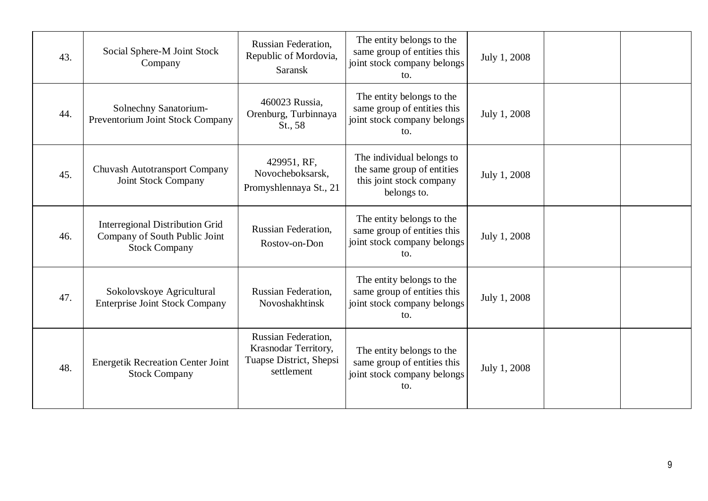| 43. | Social Sphere-M Joint Stock<br>Company                                                          | <b>Russian Federation,</b><br>Republic of Mordovia,<br><b>Saransk</b>                | The entity belongs to the<br>same group of entities this<br>joint stock company belongs<br>to.     | July 1, 2008 |  |
|-----|-------------------------------------------------------------------------------------------------|--------------------------------------------------------------------------------------|----------------------------------------------------------------------------------------------------|--------------|--|
| 44. | Solnechny Sanatorium-<br>Preventorium Joint Stock Company                                       | 460023 Russia,<br>Orenburg, Turbinnaya<br>St., 58                                    | The entity belongs to the<br>same group of entities this<br>joint stock company belongs<br>to.     | July 1, 2008 |  |
| 45. | <b>Chuvash Autotransport Company</b><br>Joint Stock Company                                     | 429951, RF,<br>Novocheboksarsk,<br>Promyshlennaya St., 21                            | The individual belongs to<br>the same group of entities<br>this joint stock company<br>belongs to. | July 1, 2008 |  |
| 46. | <b>Interregional Distribution Grid</b><br>Company of South Public Joint<br><b>Stock Company</b> | Russian Federation,<br>Rostov-on-Don                                                 | The entity belongs to the<br>same group of entities this<br>joint stock company belongs<br>to.     | July 1, 2008 |  |
| 47. | Sokolovskoye Agricultural<br><b>Enterprise Joint Stock Company</b>                              | <b>Russian Federation,</b><br>Novoshakhtinsk                                         | The entity belongs to the<br>same group of entities this<br>joint stock company belongs<br>to.     | July 1, 2008 |  |
| 48. | <b>Energetik Recreation Center Joint</b><br><b>Stock Company</b>                                | Russian Federation,<br>Krasnodar Territory,<br>Tuapse District, Shepsi<br>settlement | The entity belongs to the<br>same group of entities this<br>joint stock company belongs<br>to.     | July 1, 2008 |  |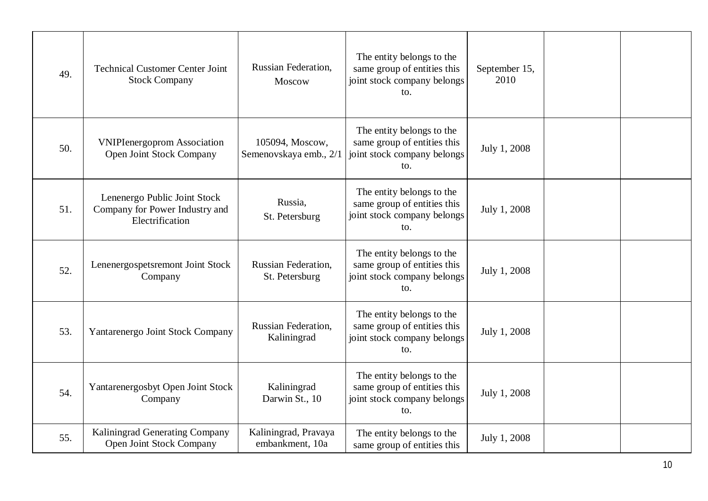| 49. | <b>Technical Customer Center Joint</b><br><b>Stock Company</b>                    | <b>Russian Federation,</b><br>Moscow         | The entity belongs to the<br>same group of entities this<br>joint stock company belongs<br>to. | September 15,<br>2010 |  |
|-----|-----------------------------------------------------------------------------------|----------------------------------------------|------------------------------------------------------------------------------------------------|-----------------------|--|
| 50. | <b>VNIPIenergoprom Association</b><br>Open Joint Stock Company                    | 105094, Moscow,<br>Semenovskaya emb., 2/1    | The entity belongs to the<br>same group of entities this<br>joint stock company belongs<br>to. | July 1, 2008          |  |
| 51. | Lenenergo Public Joint Stock<br>Company for Power Industry and<br>Electrification | Russia,<br>St. Petersburg                    | The entity belongs to the<br>same group of entities this<br>joint stock company belongs<br>to. | July 1, 2008          |  |
| 52. | Lenenergospetsremont Joint Stock<br>Company                                       | <b>Russian Federation,</b><br>St. Petersburg | The entity belongs to the<br>same group of entities this<br>joint stock company belongs<br>to. | July 1, 2008          |  |
| 53. | Yantarenergo Joint Stock Company                                                  | Russian Federation,<br>Kaliningrad           | The entity belongs to the<br>same group of entities this<br>joint stock company belongs<br>to. | July 1, 2008          |  |
| 54. | Yantarenergosbyt Open Joint Stock<br>Company                                      | Kaliningrad<br>Darwin St., 10                | The entity belongs to the<br>same group of entities this<br>joint stock company belongs<br>to. | July 1, 2008          |  |
| 55. | Kaliningrad Generating Company<br>Open Joint Stock Company                        | Kaliningrad, Pravaya<br>embankment, 10a      | The entity belongs to the<br>same group of entities this                                       | July 1, 2008          |  |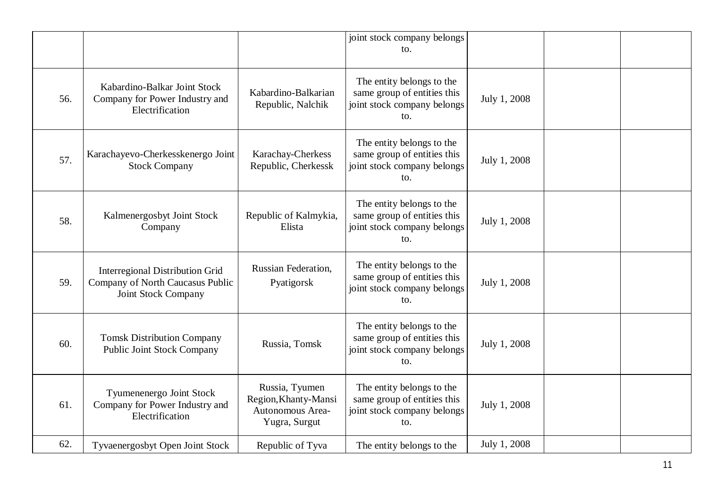|     |                                                                                                          |                                                                             | joint stock company belongs<br>to.                                                             |              |  |
|-----|----------------------------------------------------------------------------------------------------------|-----------------------------------------------------------------------------|------------------------------------------------------------------------------------------------|--------------|--|
| 56. | Kabardino-Balkar Joint Stock<br>Company for Power Industry and<br>Electrification                        | Kabardino-Balkarian<br>Republic, Nalchik                                    | The entity belongs to the<br>same group of entities this<br>joint stock company belongs<br>to. | July 1, 2008 |  |
| 57. | Karachayevo-Cherkesskenergo Joint<br><b>Stock Company</b>                                                | Karachay-Cherkess<br>Republic, Cherkessk                                    | The entity belongs to the<br>same group of entities this<br>joint stock company belongs<br>to. | July 1, 2008 |  |
| 58. | Kalmenergosbyt Joint Stock<br>Company                                                                    | Republic of Kalmykia,<br>Elista                                             | The entity belongs to the<br>same group of entities this<br>joint stock company belongs<br>to. | July 1, 2008 |  |
| 59. | <b>Interregional Distribution Grid</b><br>Company of North Caucasus Public<br><b>Joint Stock Company</b> | <b>Russian Federation,</b><br>Pyatigorsk                                    | The entity belongs to the<br>same group of entities this<br>joint stock company belongs<br>to. | July 1, 2008 |  |
| 60. | <b>Tomsk Distribution Company</b><br><b>Public Joint Stock Company</b>                                   | Russia, Tomsk                                                               | The entity belongs to the<br>same group of entities this<br>joint stock company belongs<br>to. | July 1, 2008 |  |
| 61. | Tyumenenergo Joint Stock<br>Company for Power Industry and<br>Electrification                            | Russia, Tyumen<br>Region, Khanty-Mansi<br>Autonomous Area-<br>Yugra, Surgut | The entity belongs to the<br>same group of entities this<br>joint stock company belongs<br>to. | July 1, 2008 |  |
| 62. | Tyvaenergosbyt Open Joint Stock                                                                          | Republic of Tyva                                                            | The entity belongs to the                                                                      | July 1, 2008 |  |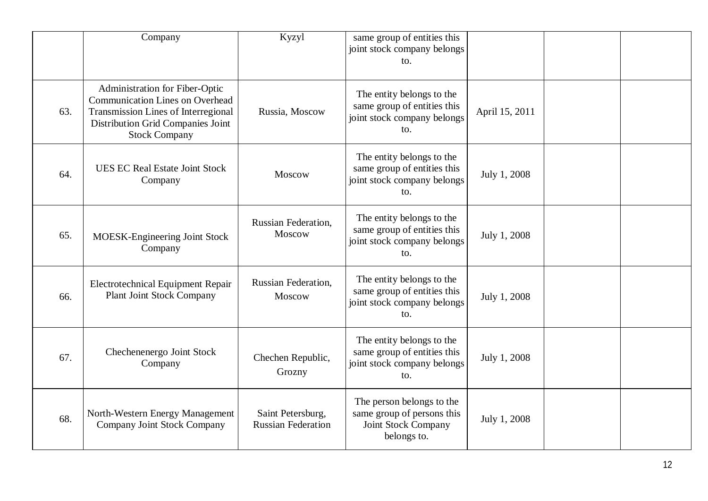|     | Company                                                                                                                                                                      | Kyzyl                                          | same group of entities this<br>joint stock company belongs<br>to.                              |                |  |
|-----|------------------------------------------------------------------------------------------------------------------------------------------------------------------------------|------------------------------------------------|------------------------------------------------------------------------------------------------|----------------|--|
| 63. | Administration for Fiber-Optic<br><b>Communication Lines on Overhead</b><br>Transmission Lines of Interregional<br>Distribution Grid Companies Joint<br><b>Stock Company</b> | Russia, Moscow                                 | The entity belongs to the<br>same group of entities this<br>joint stock company belongs<br>to. | April 15, 2011 |  |
| 64. | <b>UES EC Real Estate Joint Stock</b><br>Company                                                                                                                             | Moscow                                         | The entity belongs to the<br>same group of entities this<br>joint stock company belongs<br>to. | July 1, 2008   |  |
| 65. | MOESK-Engineering Joint Stock<br>Company                                                                                                                                     | <b>Russian Federation,</b><br>Moscow           | The entity belongs to the<br>same group of entities this<br>joint stock company belongs<br>to. | July 1, 2008   |  |
| 66. | <b>Electrotechnical Equipment Repair</b><br><b>Plant Joint Stock Company</b>                                                                                                 | <b>Russian Federation,</b><br>Moscow           | The entity belongs to the<br>same group of entities this<br>joint stock company belongs<br>to. | July 1, 2008   |  |
| 67. | Chechenenergo Joint Stock<br>Company                                                                                                                                         | Chechen Republic,<br>Grozny                    | The entity belongs to the<br>same group of entities this<br>joint stock company belongs<br>to. | July 1, 2008   |  |
| 68. | North-Western Energy Management<br>Company Joint Stock Company                                                                                                               | Saint Petersburg,<br><b>Russian Federation</b> | The person belongs to the<br>same group of persons this<br>Joint Stock Company<br>belongs to.  | July 1, 2008   |  |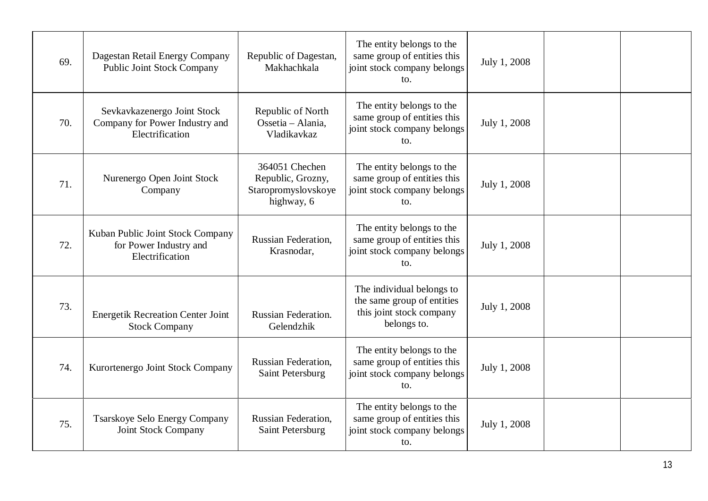| 69. | Dagestan Retail Energy Company<br><b>Public Joint Stock Company</b>              | Republic of Dagestan,<br>Makhachkala                                     | The entity belongs to the<br>same group of entities this<br>joint stock company belongs<br>to.     | July 1, 2008 |  |
|-----|----------------------------------------------------------------------------------|--------------------------------------------------------------------------|----------------------------------------------------------------------------------------------------|--------------|--|
| 70. | Sevkavkazenergo Joint Stock<br>Company for Power Industry and<br>Electrification | Republic of North<br>Ossetia - Alania,<br>Vladikavkaz                    | The entity belongs to the<br>same group of entities this<br>joint stock company belongs<br>to.     | July 1, 2008 |  |
| 71. | Nurenergo Open Joint Stock<br>Company                                            | 364051 Chechen<br>Republic, Grozny,<br>Staropromyslovskoye<br>highway, 6 | The entity belongs to the<br>same group of entities this<br>joint stock company belongs<br>to.     | July 1, 2008 |  |
| 72. | Kuban Public Joint Stock Company<br>for Power Industry and<br>Electrification    | Russian Federation,<br>Krasnodar,                                        | The entity belongs to the<br>same group of entities this<br>joint stock company belongs<br>to.     | July 1, 2008 |  |
| 73. | <b>Energetik Recreation Center Joint</b><br><b>Stock Company</b>                 | Russian Federation.<br>Gelendzhik                                        | The individual belongs to<br>the same group of entities<br>this joint stock company<br>belongs to. | July 1, 2008 |  |
| 74. | Kurortenergo Joint Stock Company                                                 | <b>Russian Federation,</b><br>Saint Petersburg                           | The entity belongs to the<br>same group of entities this<br>joint stock company belongs<br>to.     | July 1, 2008 |  |
| 75. | Tsarskoye Selo Energy Company<br><b>Joint Stock Company</b>                      | <b>Russian Federation.</b><br>Saint Petersburg                           | The entity belongs to the<br>same group of entities this<br>joint stock company belongs<br>to.     | July 1, 2008 |  |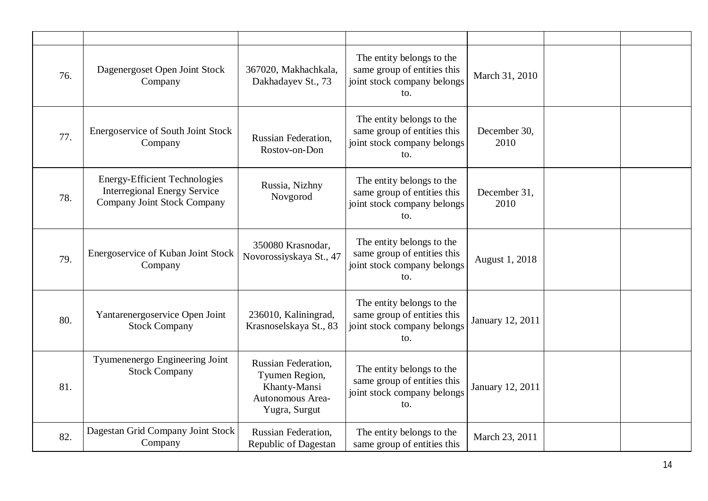| 76. | Dagenergoset Open Joint Stock<br>Company                                                                   | 367020, Makhachkala,<br>Dakhadayev St., 73                                                        | The entity belongs to the<br>same group of entities this<br>joint stock company belongs<br>to. | March 31, 2010       |  |
|-----|------------------------------------------------------------------------------------------------------------|---------------------------------------------------------------------------------------------------|------------------------------------------------------------------------------------------------|----------------------|--|
| 77. | Energoservice of South Joint Stock<br>Company                                                              | <b>Russian Federation,</b><br>Rostov-on-Don                                                       | The entity belongs to the<br>same group of entities this<br>joint stock company belongs<br>to. | December 30,<br>2010 |  |
| 78. | <b>Energy-Efficient Technologies</b><br><b>Interregional Energy Service</b><br>Company Joint Stock Company | Russia, Nizhny<br>Novgorod                                                                        | The entity belongs to the<br>same group of entities this<br>joint stock company belongs<br>to. | December 31,<br>2010 |  |
| 79. | Energoservice of Kuban Joint Stock<br>Company                                                              | 350080 Krasnodar,<br>Novorossiyskaya St., 47                                                      | The entity belongs to the<br>same group of entities this<br>joint stock company belongs<br>to. | August 1, 2018       |  |
| 80. | Yantarenergoservice Open Joint<br><b>Stock Company</b>                                                     | 236010, Kaliningrad,<br>Krasnoselskaya St., 83                                                    | The entity belongs to the<br>same group of entities this<br>joint stock company belongs<br>to. | January 12, 2011     |  |
| 81. | Tyumenenergo Engineering Joint<br><b>Stock Company</b>                                                     | <b>Russian Federation,</b><br>Tyumen Region,<br>Khanty-Mansi<br>Autonomous Area-<br>Yugra, Surgut | The entity belongs to the<br>same group of entities this<br>joint stock company belongs<br>to. | January 12, 2011     |  |
| 82. | Dagestan Grid Company Joint Stock<br>Company                                                               | <b>Russian Federation,</b><br>Republic of Dagestan                                                | The entity belongs to the<br>same group of entities this                                       | March 23, 2011       |  |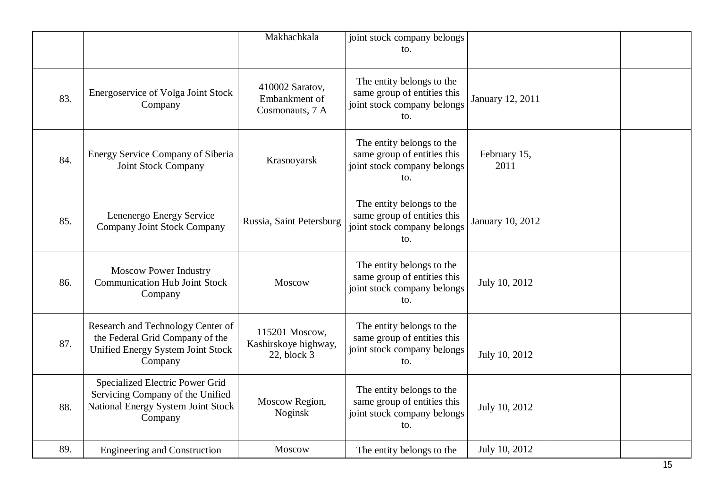|     |                                                                                                                      | Makhachkala                                                | joint stock company belongs<br>to.                                                             |                      |  |
|-----|----------------------------------------------------------------------------------------------------------------------|------------------------------------------------------------|------------------------------------------------------------------------------------------------|----------------------|--|
|     |                                                                                                                      |                                                            |                                                                                                |                      |  |
| 83. | Energoservice of Volga Joint Stock<br>Company                                                                        | 410002 Saratov,<br>Embankment of<br>Cosmonauts, 7 A        | The entity belongs to the<br>same group of entities this<br>joint stock company belongs<br>to. | January 12, 2011     |  |
| 84. | <b>Energy Service Company of Siberia</b><br>Joint Stock Company                                                      | Krasnoyarsk                                                | The entity belongs to the<br>same group of entities this<br>joint stock company belongs<br>to. | February 15,<br>2011 |  |
| 85. | Lenenergo Energy Service<br>Company Joint Stock Company                                                              | Russia, Saint Petersburg                                   | The entity belongs to the<br>same group of entities this<br>joint stock company belongs<br>to. | January 10, 2012     |  |
| 86. | <b>Moscow Power Industry</b><br><b>Communication Hub Joint Stock</b><br>Company                                      | Moscow                                                     | The entity belongs to the<br>same group of entities this<br>joint stock company belongs<br>to. | July 10, 2012        |  |
| 87. | Research and Technology Center of<br>the Federal Grid Company of the<br>Unified Energy System Joint Stock<br>Company | 115201 Moscow,<br>Kashirskoye highway,<br>$22$ , block $3$ | The entity belongs to the<br>same group of entities this<br>joint stock company belongs<br>to. | July 10, 2012        |  |
| 88. | Specialized Electric Power Grid<br>Servicing Company of the Unified<br>National Energy System Joint Stock<br>Company | Moscow Region,<br>Noginsk                                  | The entity belongs to the<br>same group of entities this<br>joint stock company belongs<br>to. | July 10, 2012        |  |
| 89. | <b>Engineering and Construction</b>                                                                                  | Moscow                                                     | The entity belongs to the                                                                      | July 10, 2012        |  |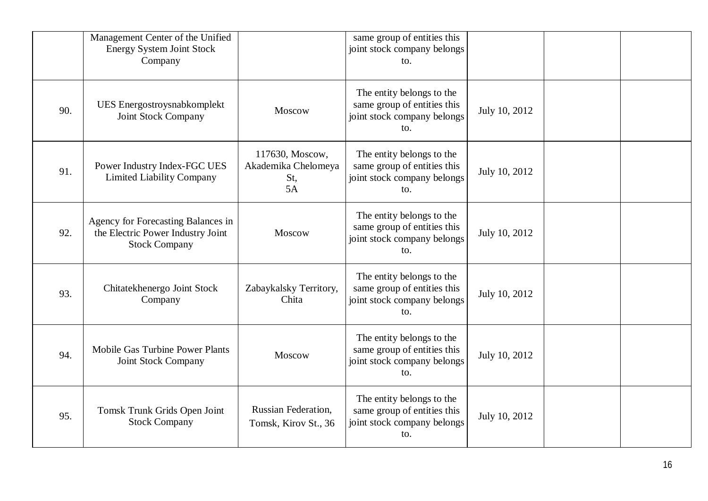|     | Management Center of the Unified<br><b>Energy System Joint Stock</b><br>Company                 |                                                     | same group of entities this<br>joint stock company belongs<br>to.                              |               |  |
|-----|-------------------------------------------------------------------------------------------------|-----------------------------------------------------|------------------------------------------------------------------------------------------------|---------------|--|
| 90. | UES Energostroysnabkomplekt<br>Joint Stock Company                                              | Moscow                                              | The entity belongs to the<br>same group of entities this<br>joint stock company belongs<br>to. | July 10, 2012 |  |
| 91. | Power Industry Index-FGC UES<br><b>Limited Liability Company</b>                                | 117630, Moscow,<br>Akademika Chelomeya<br>St,<br>5A | The entity belongs to the<br>same group of entities this<br>joint stock company belongs<br>to. | July 10, 2012 |  |
| 92. | Agency for Forecasting Balances in<br>the Electric Power Industry Joint<br><b>Stock Company</b> | Moscow                                              | The entity belongs to the<br>same group of entities this<br>joint stock company belongs<br>to. | July 10, 2012 |  |
| 93. | Chitatekhenergo Joint Stock<br>Company                                                          | Zabaykalsky Territory,<br>Chita                     | The entity belongs to the<br>same group of entities this<br>joint stock company belongs<br>to. | July 10, 2012 |  |
| 94. | <b>Mobile Gas Turbine Power Plants</b><br>Joint Stock Company                                   | Moscow                                              | The entity belongs to the<br>same group of entities this<br>joint stock company belongs<br>to. | July 10, 2012 |  |
| 95. | Tomsk Trunk Grids Open Joint<br><b>Stock Company</b>                                            | <b>Russian Federation,</b><br>Tomsk, Kirov St., 36  | The entity belongs to the<br>same group of entities this<br>joint stock company belongs<br>to. | July 10, 2012 |  |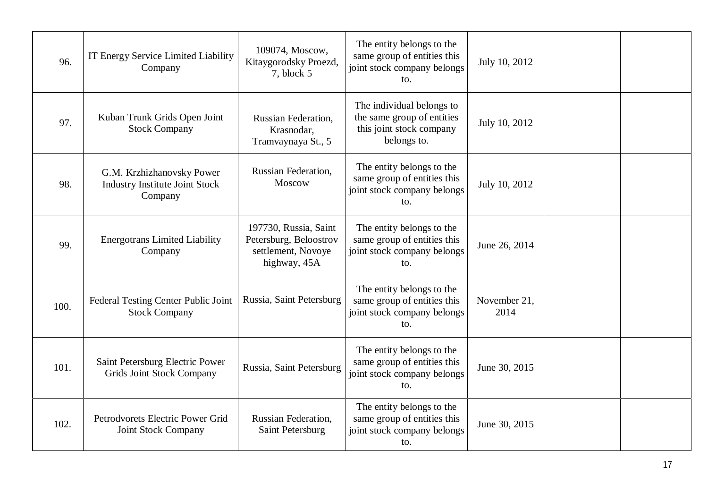| 96.  | IT Energy Service Limited Liability<br>Company                                | 109074, Moscow,<br>Kitaygorodsky Proezd,<br>7, block 5                                | The entity belongs to the<br>same group of entities this<br>joint stock company belongs<br>to.     | July 10, 2012        |  |
|------|-------------------------------------------------------------------------------|---------------------------------------------------------------------------------------|----------------------------------------------------------------------------------------------------|----------------------|--|
| 97.  | Kuban Trunk Grids Open Joint<br><b>Stock Company</b>                          | <b>Russian Federation,</b><br>Krasnodar,<br>Tramvaynaya St., 5                        | The individual belongs to<br>the same group of entities<br>this joint stock company<br>belongs to. | July 10, 2012        |  |
| 98.  | G.M. Krzhizhanovsky Power<br><b>Industry Institute Joint Stock</b><br>Company | Russian Federation,<br>Moscow                                                         | The entity belongs to the<br>same group of entities this<br>joint stock company belongs<br>to.     | July 10, 2012        |  |
| 99.  | <b>Energotrans Limited Liability</b><br>Company                               | 197730, Russia, Saint<br>Petersburg, Beloostrov<br>settlement, Novoye<br>highway, 45A | The entity belongs to the<br>same group of entities this<br>joint stock company belongs<br>to.     | June 26, 2014        |  |
| 100. | Federal Testing Center Public Joint<br><b>Stock Company</b>                   | Russia, Saint Petersburg                                                              | The entity belongs to the<br>same group of entities this<br>joint stock company belongs<br>to.     | November 21,<br>2014 |  |
| 101. | Saint Petersburg Electric Power<br><b>Grids Joint Stock Company</b>           | Russia, Saint Petersburg                                                              | The entity belongs to the<br>same group of entities this<br>joint stock company belongs<br>to.     | June 30, 2015        |  |
| 102. | Petrodvorets Electric Power Grid<br>Joint Stock Company                       | <b>Russian Federation,</b><br>Saint Petersburg                                        | The entity belongs to the<br>same group of entities this<br>joint stock company belongs<br>to.     | June 30, 2015        |  |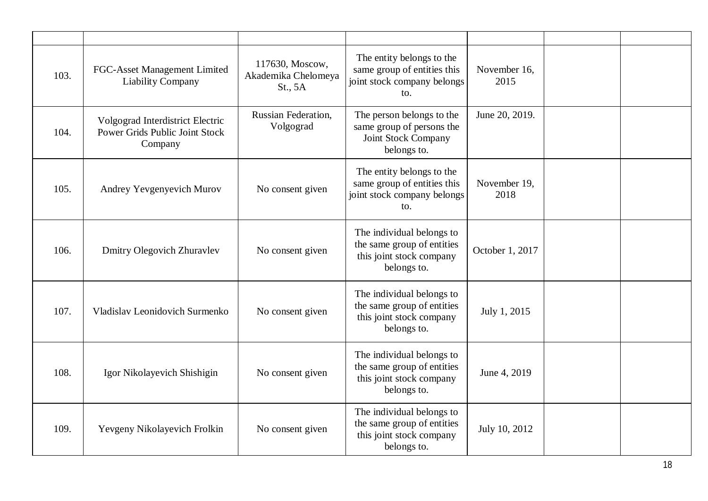| 103. | FGC-Asset Management Limited<br><b>Liability Company</b>                      | 117630, Moscow,<br>Akademika Chelomeya<br>St., 5A | The entity belongs to the<br>same group of entities this<br>joint stock company belongs<br>to.     | November 16,<br>2015 |  |
|------|-------------------------------------------------------------------------------|---------------------------------------------------|----------------------------------------------------------------------------------------------------|----------------------|--|
| 104. | Volgograd Interdistrict Electric<br>Power Grids Public Joint Stock<br>Company | <b>Russian Federation.</b><br>Volgograd           | The person belongs to the<br>same group of persons the<br>Joint Stock Company<br>belongs to.       | June 20, 2019.       |  |
| 105. | Andrey Yevgenyevich Murov                                                     | No consent given                                  | The entity belongs to the<br>same group of entities this<br>joint stock company belongs<br>to.     | November 19,<br>2018 |  |
| 106. | Dmitry Olegovich Zhuravlev                                                    | No consent given                                  | The individual belongs to<br>the same group of entities<br>this joint stock company<br>belongs to. | October 1, 2017      |  |
| 107. | Vladislav Leonidovich Surmenko                                                | No consent given                                  | The individual belongs to<br>the same group of entities<br>this joint stock company<br>belongs to. | July 1, 2015         |  |
| 108. | Igor Nikolayevich Shishigin                                                   | No consent given                                  | The individual belongs to<br>the same group of entities<br>this joint stock company<br>belongs to. | June 4, 2019         |  |
| 109. | Yevgeny Nikolayevich Frolkin                                                  | No consent given                                  | The individual belongs to<br>the same group of entities<br>this joint stock company<br>belongs to. | July 10, 2012        |  |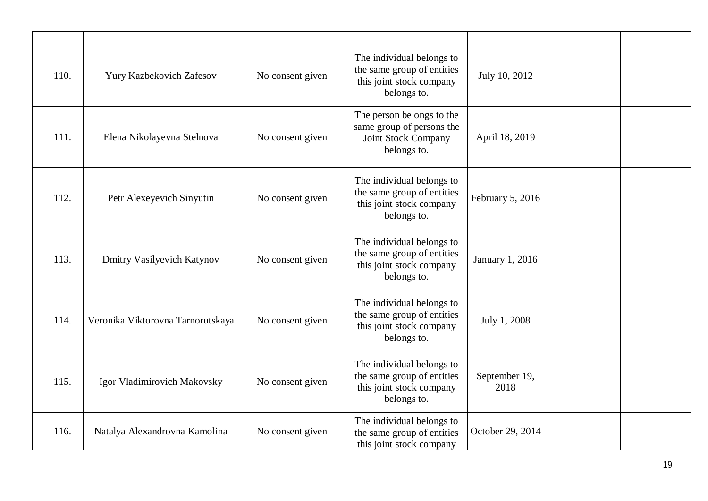| 110. | Yury Kazbekovich Zafesov          | No consent given | The individual belongs to<br>the same group of entities<br>this joint stock company<br>belongs to. | July 10, 2012         |  |
|------|-----------------------------------|------------------|----------------------------------------------------------------------------------------------------|-----------------------|--|
| 111. | Elena Nikolayevna Stelnova        | No consent given | The person belongs to the<br>same group of persons the<br>Joint Stock Company<br>belongs to.       | April 18, 2019        |  |
| 112. | Petr Alexeyevich Sinyutin         | No consent given | The individual belongs to<br>the same group of entities<br>this joint stock company<br>belongs to. | February 5, 2016      |  |
| 113. | Dmitry Vasilyevich Katynov        | No consent given | The individual belongs to<br>the same group of entities<br>this joint stock company<br>belongs to. | January 1, 2016       |  |
| 114. | Veronika Viktorovna Tarnorutskaya | No consent given | The individual belongs to<br>the same group of entities<br>this joint stock company<br>belongs to. | July 1, 2008          |  |
| 115. | Igor Vladimirovich Makovsky       | No consent given | The individual belongs to<br>the same group of entities<br>this joint stock company<br>belongs to. | September 19,<br>2018 |  |
| 116. | Natalya Alexandrovna Kamolina     | No consent given | The individual belongs to<br>the same group of entities<br>this joint stock company                | October 29, 2014      |  |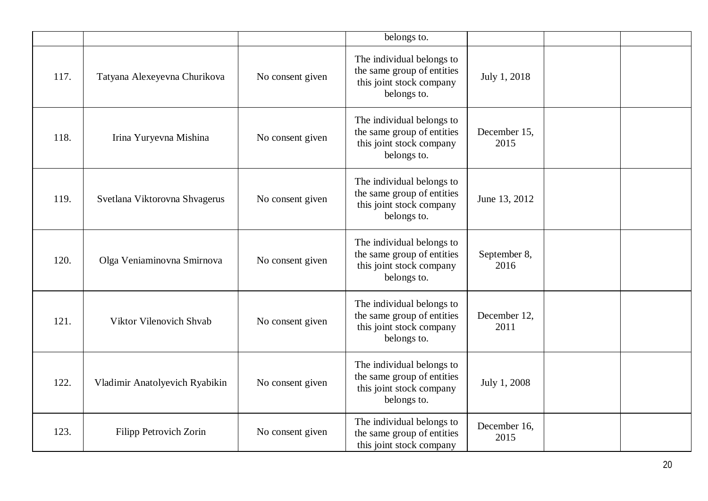|      |                                |                  | belongs to.                                                                                        |                      |  |
|------|--------------------------------|------------------|----------------------------------------------------------------------------------------------------|----------------------|--|
| 117. | Tatyana Alexeyevna Churikova   | No consent given | The individual belongs to<br>the same group of entities<br>this joint stock company<br>belongs to. | July 1, 2018         |  |
| 118. | Irina Yuryevna Mishina         | No consent given | The individual belongs to<br>the same group of entities<br>this joint stock company<br>belongs to. | December 15,<br>2015 |  |
| 119. | Svetlana Viktorovna Shvagerus  | No consent given | The individual belongs to<br>the same group of entities<br>this joint stock company<br>belongs to. | June 13, 2012        |  |
| 120. | Olga Veniaminovna Smirnova     | No consent given | The individual belongs to<br>the same group of entities<br>this joint stock company<br>belongs to. | September 8,<br>2016 |  |
| 121. | Viktor Vilenovich Shvab        | No consent given | The individual belongs to<br>the same group of entities<br>this joint stock company<br>belongs to. | December 12,<br>2011 |  |
| 122. | Vladimir Anatolyevich Ryabikin | No consent given | The individual belongs to<br>the same group of entities<br>this joint stock company<br>belongs to. | July 1, 2008         |  |
| 123. | Filipp Petrovich Zorin         | No consent given | The individual belongs to<br>the same group of entities<br>this joint stock company                | December 16,<br>2015 |  |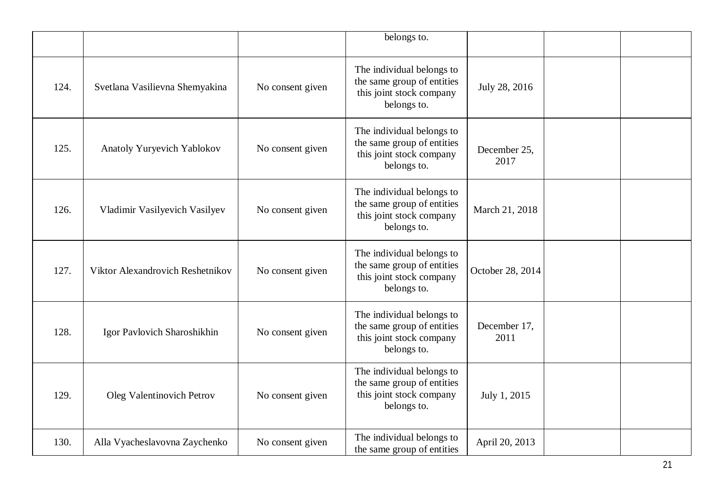|      |                                  |                  | belongs to.                                                                                        |                      |  |
|------|----------------------------------|------------------|----------------------------------------------------------------------------------------------------|----------------------|--|
| 124. | Svetlana Vasilievna Shemyakina   | No consent given | The individual belongs to<br>the same group of entities<br>this joint stock company<br>belongs to. | July 28, 2016        |  |
| 125. | Anatoly Yuryevich Yablokov       | No consent given | The individual belongs to<br>the same group of entities<br>this joint stock company<br>belongs to. | December 25,<br>2017 |  |
| 126. | Vladimir Vasilyevich Vasilyev    | No consent given | The individual belongs to<br>the same group of entities<br>this joint stock company<br>belongs to. | March 21, 2018       |  |
| 127. | Viktor Alexandrovich Reshetnikov | No consent given | The individual belongs to<br>the same group of entities<br>this joint stock company<br>belongs to. | October 28, 2014     |  |
| 128. | Igor Pavlovich Sharoshikhin      | No consent given | The individual belongs to<br>the same group of entities<br>this joint stock company<br>belongs to. | December 17,<br>2011 |  |
| 129. | Oleg Valentinovich Petrov        | No consent given | The individual belongs to<br>the same group of entities<br>this joint stock company<br>belongs to. | July 1, 2015         |  |
| 130. | Alla Vyacheslavovna Zaychenko    | No consent given | The individual belongs to<br>the same group of entities                                            | April 20, 2013       |  |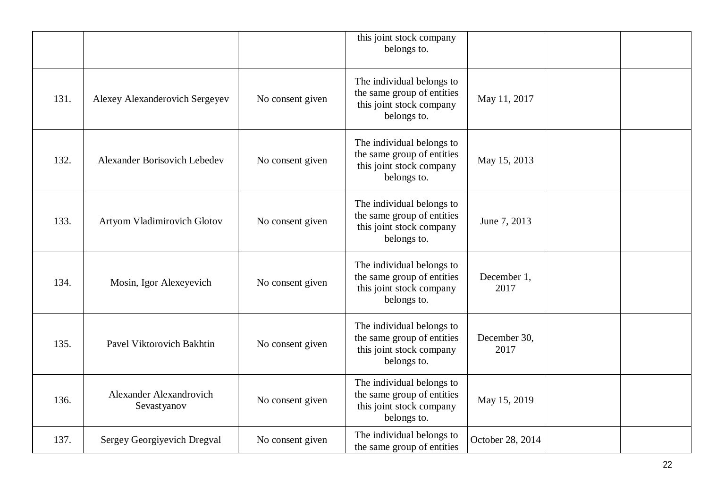|      |                                        |                  | this joint stock company<br>belongs to.                                                            |                      |  |
|------|----------------------------------------|------------------|----------------------------------------------------------------------------------------------------|----------------------|--|
| 131. | Alexey Alexanderovich Sergeyev         | No consent given | The individual belongs to<br>the same group of entities<br>this joint stock company<br>belongs to. | May 11, 2017         |  |
| 132. | <b>Alexander Borisovich Lebedev</b>    | No consent given | The individual belongs to<br>the same group of entities<br>this joint stock company<br>belongs to. | May 15, 2013         |  |
| 133. | Artyom Vladimirovich Glotov            | No consent given | The individual belongs to<br>the same group of entities<br>this joint stock company<br>belongs to. | June 7, 2013         |  |
| 134. | Mosin, Igor Alexeyevich                | No consent given | The individual belongs to<br>the same group of entities<br>this joint stock company<br>belongs to. | December 1,<br>2017  |  |
| 135. | Pavel Viktorovich Bakhtin              | No consent given | The individual belongs to<br>the same group of entities<br>this joint stock company<br>belongs to. | December 30,<br>2017 |  |
| 136. | Alexander Alexandrovich<br>Sevastyanov | No consent given | The individual belongs to<br>the same group of entities<br>this joint stock company<br>belongs to. | May 15, 2019         |  |
| 137. | Sergey Georgiyevich Dregval            | No consent given | The individual belongs to<br>the same group of entities                                            | October 28, 2014     |  |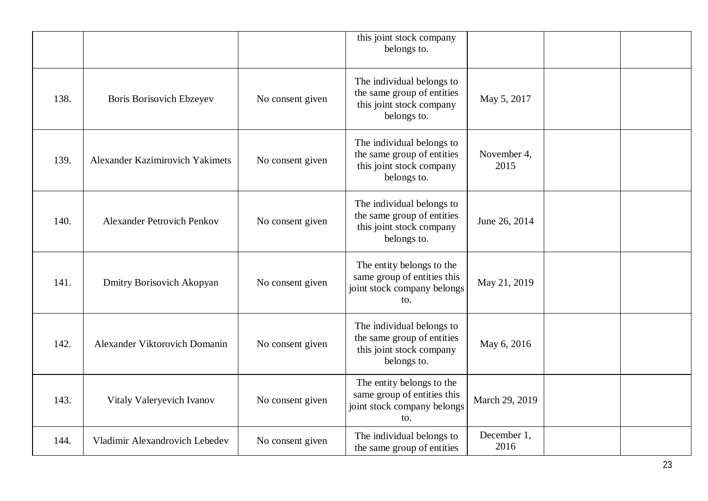|      |                                        |                  | this joint stock company<br>belongs to.                                                            |                     |  |
|------|----------------------------------------|------------------|----------------------------------------------------------------------------------------------------|---------------------|--|
| 138. | <b>Boris Borisovich Ebzeyev</b>        | No consent given | The individual belongs to<br>the same group of entities<br>this joint stock company<br>belongs to. | May 5, 2017         |  |
| 139. | <b>Alexander Kazimirovich Yakimets</b> | No consent given | The individual belongs to<br>the same group of entities<br>this joint stock company<br>belongs to. | November 4,<br>2015 |  |
| 140. | <b>Alexander Petrovich Penkov</b>      | No consent given | The individual belongs to<br>the same group of entities<br>this joint stock company<br>belongs to. | June 26, 2014       |  |
| 141. | Dmitry Borisovich Akopyan              | No consent given | The entity belongs to the<br>same group of entities this<br>joint stock company belongs<br>to.     | May 21, 2019        |  |
| 142. | Alexander Viktorovich Domanin          | No consent given | The individual belongs to<br>the same group of entities<br>this joint stock company<br>belongs to. | May 6, 2016         |  |
| 143. | Vitaly Valeryevich Ivanov              | No consent given | The entity belongs to the<br>same group of entities this<br>joint stock company belongs<br>to.     | March 29, 2019      |  |
| 144. | Vladimir Alexandrovich Lebedev         | No consent given | The individual belongs to<br>the same group of entities                                            | December 1,<br>2016 |  |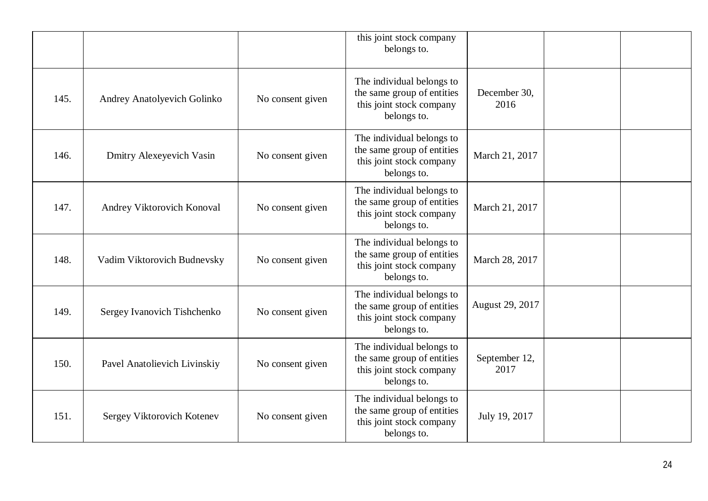|      |                                 |                  | this joint stock company<br>belongs to.                                                            |                       |  |
|------|---------------------------------|------------------|----------------------------------------------------------------------------------------------------|-----------------------|--|
| 145. | Andrey Anatolyevich Golinko     | No consent given | The individual belongs to<br>the same group of entities<br>this joint stock company<br>belongs to. | December 30,<br>2016  |  |
| 146. | <b>Dmitry Alexeyevich Vasin</b> | No consent given | The individual belongs to<br>the same group of entities<br>this joint stock company<br>belongs to. | March 21, 2017        |  |
| 147. | Andrey Viktorovich Konoval      | No consent given | The individual belongs to<br>the same group of entities<br>this joint stock company<br>belongs to. | March 21, 2017        |  |
| 148. | Vadim Viktorovich Budnevsky     | No consent given | The individual belongs to<br>the same group of entities<br>this joint stock company<br>belongs to. | March 28, 2017        |  |
| 149. | Sergey Ivanovich Tishchenko     | No consent given | The individual belongs to<br>the same group of entities<br>this joint stock company<br>belongs to. | August 29, 2017       |  |
| 150. | Pavel Anatolievich Livinskiy    | No consent given | The individual belongs to<br>the same group of entities<br>this joint stock company<br>belongs to. | September 12,<br>2017 |  |
| 151. | Sergey Viktorovich Kotenev      | No consent given | The individual belongs to<br>the same group of entities<br>this joint stock company<br>belongs to. | July 19, 2017         |  |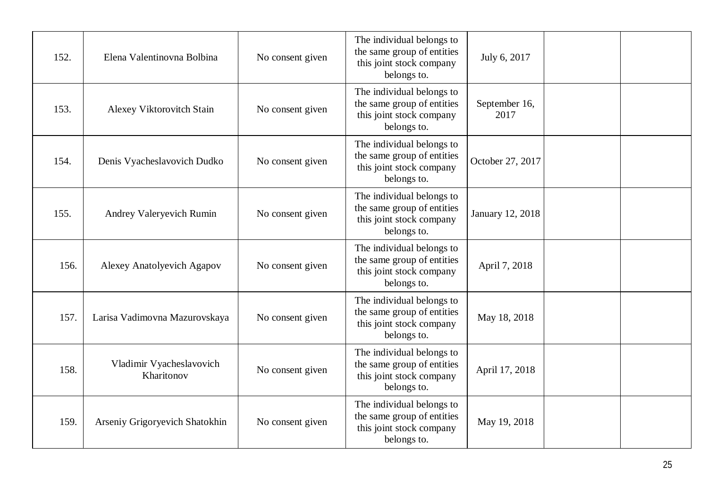| 152. | Elena Valentinovna Bolbina             | No consent given | The individual belongs to<br>the same group of entities<br>this joint stock company<br>belongs to. | July 6, 2017          |  |
|------|----------------------------------------|------------------|----------------------------------------------------------------------------------------------------|-----------------------|--|
| 153. | Alexey Viktorovitch Stain              | No consent given | The individual belongs to<br>the same group of entities<br>this joint stock company<br>belongs to. | September 16,<br>2017 |  |
| 154. | Denis Vyacheslavovich Dudko            | No consent given | The individual belongs to<br>the same group of entities<br>this joint stock company<br>belongs to. | October 27, 2017      |  |
| 155. | Andrey Valeryevich Rumin               | No consent given | The individual belongs to<br>the same group of entities<br>this joint stock company<br>belongs to. | January 12, 2018      |  |
| 156. | <b>Alexey Anatolyevich Agapov</b>      | No consent given | The individual belongs to<br>the same group of entities<br>this joint stock company<br>belongs to. | April 7, 2018         |  |
| 157. | Larisa Vadimovna Mazurovskaya          | No consent given | The individual belongs to<br>the same group of entities<br>this joint stock company<br>belongs to. | May 18, 2018          |  |
| 158. | Vladimir Vyacheslavovich<br>Kharitonov | No consent given | The individual belongs to<br>the same group of entities<br>this joint stock company<br>belongs to. | April 17, 2018        |  |
| 159. | Arseniy Grigoryevich Shatokhin         | No consent given | The individual belongs to<br>the same group of entities<br>this joint stock company<br>belongs to. | May 19, 2018          |  |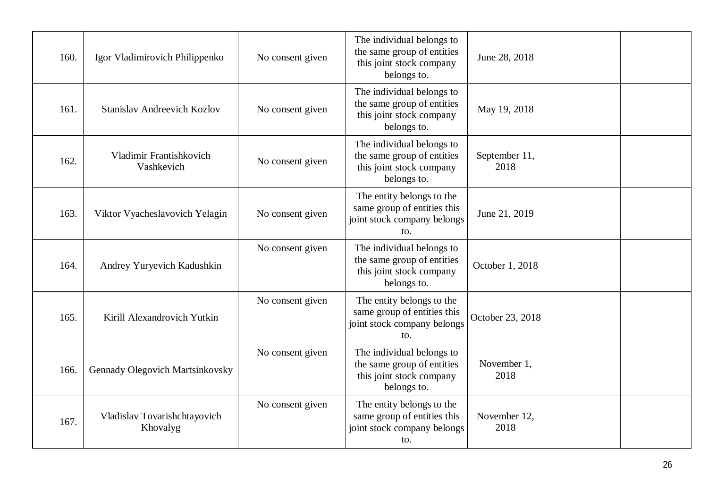| 160. | Igor Vladimirovich Philippenko           | No consent given | The individual belongs to<br>the same group of entities<br>this joint stock company<br>belongs to. | June 28, 2018         |  |
|------|------------------------------------------|------------------|----------------------------------------------------------------------------------------------------|-----------------------|--|
| 161. | <b>Stanislav Andreevich Kozlov</b>       | No consent given | The individual belongs to<br>the same group of entities<br>this joint stock company<br>belongs to. | May 19, 2018          |  |
| 162. | Vladimir Frantishkovich<br>Vashkevich    | No consent given | The individual belongs to<br>the same group of entities<br>this joint stock company<br>belongs to. | September 11,<br>2018 |  |
| 163. | Viktor Vyacheslavovich Yelagin           | No consent given | The entity belongs to the<br>same group of entities this<br>joint stock company belongs<br>to.     | June 21, 2019         |  |
| 164. | Andrey Yuryevich Kadushkin               | No consent given | The individual belongs to<br>the same group of entities<br>this joint stock company<br>belongs to. | October 1, 2018       |  |
| 165. | Kirill Alexandrovich Yutkin              | No consent given | The entity belongs to the<br>same group of entities this<br>joint stock company belongs<br>to.     | October 23, 2018      |  |
| 166. | Gennady Olegovich Martsinkovsky          | No consent given | The individual belongs to<br>the same group of entities<br>this joint stock company<br>belongs to. | November 1,<br>2018   |  |
| 167. | Vladislav Tovarishchtayovich<br>Khovalyg | No consent given | The entity belongs to the<br>same group of entities this<br>joint stock company belongs<br>to.     | November 12,<br>2018  |  |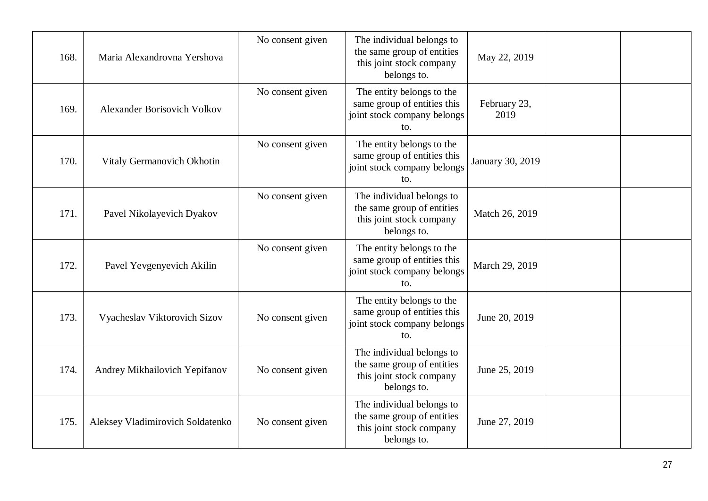| 168. | Maria Alexandrovna Yershova        | No consent given | The individual belongs to<br>the same group of entities<br>this joint stock company<br>belongs to. | May 22, 2019         |  |
|------|------------------------------------|------------------|----------------------------------------------------------------------------------------------------|----------------------|--|
| 169. | <b>Alexander Borisovich Volkov</b> | No consent given | The entity belongs to the<br>same group of entities this<br>joint stock company belongs<br>to.     | February 23,<br>2019 |  |
| 170. | Vitaly Germanovich Okhotin         | No consent given | The entity belongs to the<br>same group of entities this<br>joint stock company belongs<br>to.     | January 30, 2019     |  |
| 171. | Pavel Nikolayevich Dyakov          | No consent given | The individual belongs to<br>the same group of entities<br>this joint stock company<br>belongs to. | Match 26, 2019       |  |
| 172. | Pavel Yevgenyevich Akilin          | No consent given | The entity belongs to the<br>same group of entities this<br>joint stock company belongs<br>to.     | March 29, 2019       |  |
| 173. | Vyacheslav Viktorovich Sizov       | No consent given | The entity belongs to the<br>same group of entities this<br>joint stock company belongs<br>to.     | June 20, 2019        |  |
| 174. | Andrey Mikhailovich Yepifanov      | No consent given | The individual belongs to<br>the same group of entities<br>this joint stock company<br>belongs to. | June 25, 2019        |  |
| 175. | Aleksey Vladimirovich Soldatenko   | No consent given | The individual belongs to<br>the same group of entities<br>this joint stock company<br>belongs to. | June 27, 2019        |  |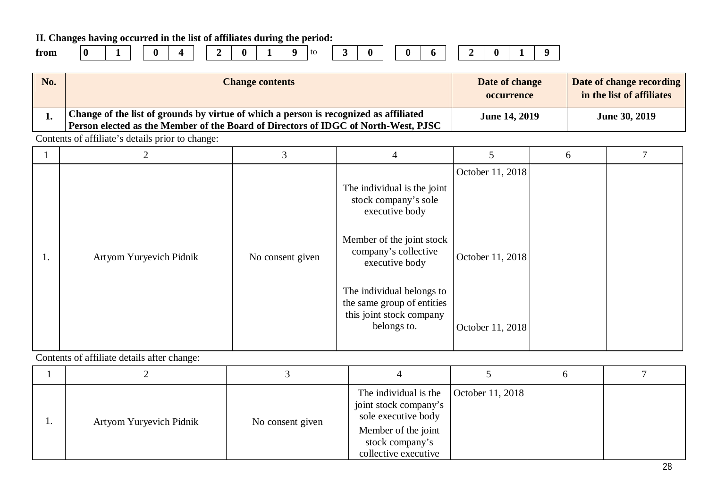**II. Changes having occurred in the list of affiliates during the period:**

| trom |  |
|------|--|
|      |  |

| $\boldsymbol{0}$<br>$\bf{0}$<br>0<br>$\mathbf{0}$<br>~<br>to<br>from<br>$\sqrt{ }$<br>0<br>▱<br>_ |  |  |
|---------------------------------------------------------------------------------------------------|--|--|
|---------------------------------------------------------------------------------------------------|--|--|

|--|--|--|--|

**No. Change contents Change contents Date of change occurrence Date of change recording in the list of affiliates 1. Change of the list of grounds by virtue of which a person is recognized as affiliated Person elected as the Member of the Board of Directors of IDGC of North-West, PJSC June 14, 2019 June 30, 2019**

Contents of affiliate's details prior to change:

|    |                         | 3                | 4                                                                                                                                                                                                                                                  |                                                          | 6 |  |
|----|-------------------------|------------------|----------------------------------------------------------------------------------------------------------------------------------------------------------------------------------------------------------------------------------------------------|----------------------------------------------------------|---|--|
| 1. | Artyom Yuryevich Pidnik | No consent given | The individual is the joint<br>stock company's sole<br>executive body<br>Member of the joint stock<br>company's collective<br>executive body<br>The individual belongs to<br>the same group of entities<br>this joint stock company<br>belongs to. | October 11, 2018<br>October 11, 2018<br>October 11, 2018 |   |  |

| Artyom Yuryevich Pidnik | No consent given | The individual is the<br>joint stock company's<br>sole executive body<br>Member of the joint<br>stock company's<br>collective executive | October 11, 2018 |  |
|-------------------------|------------------|-----------------------------------------------------------------------------------------------------------------------------------------|------------------|--|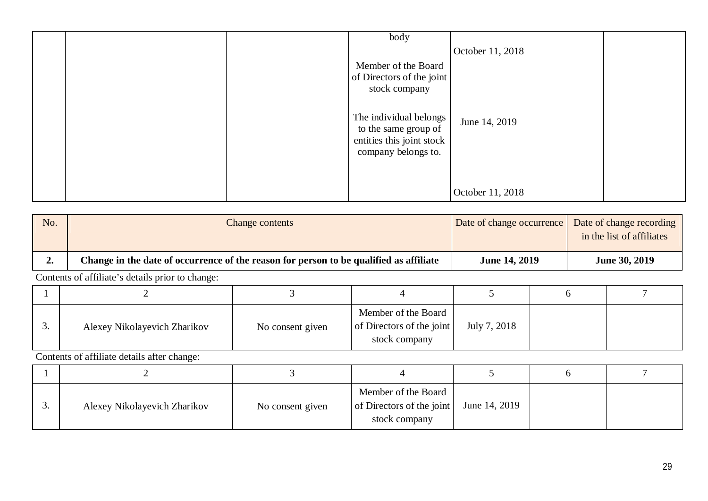|  | body                                                                                                 |                  |  |
|--|------------------------------------------------------------------------------------------------------|------------------|--|
|  |                                                                                                      | October 11, 2018 |  |
|  | Member of the Board                                                                                  |                  |  |
|  | of Directors of the joint                                                                            |                  |  |
|  | stock company                                                                                        |                  |  |
|  | The individual belongs  <br>to the same group of<br>entities this joint stock<br>company belongs to. | June 14, 2019    |  |
|  |                                                                                                      | October 11, 2018 |  |

| No. | Change contents                                                                        | Date of change occurrence | Date of change recording<br>in the list of affiliates |
|-----|----------------------------------------------------------------------------------------|---------------------------|-------------------------------------------------------|
|     | Change in the date of occurrence of the reason for person to be qualified as affiliate | <b>June 14, 2019</b>      | June 30, 2019                                         |

| <u>.</u> | Alexey Nikolayevich Zharikov | No consent given | Member of the Board<br>of Directors of the joint<br>stock company | July 7, 2018 |  |
|----------|------------------------------|------------------|-------------------------------------------------------------------|--------------|--|

| J. | Alexey Nikolayevich Zharikov | No consent given | Member of the Board<br>of Directors of the joint<br>stock company | June 14, 2019 |  |
|----|------------------------------|------------------|-------------------------------------------------------------------|---------------|--|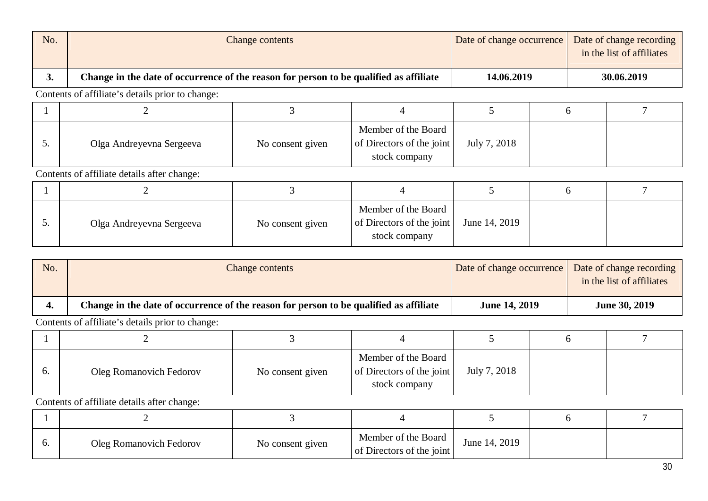| No. | Change contents                                                                        | Date of change occurrence Date of change recording | in the list of affiliates |
|-----|----------------------------------------------------------------------------------------|----------------------------------------------------|---------------------------|
| J.  | Change in the date of occurrence of the reason for person to be qualified as affiliate | 14.06.2019                                         | 30.06.2019                |

| Olga Andreyevna Sergeeva | No consent given | Member of the Board<br>of Directors of the joint<br>stock company | July 7, 2018 |  |
|--------------------------|------------------|-------------------------------------------------------------------|--------------|--|

Contents of affiliate details after change:

| ◡. | Olga Andreyevna Sergeeva | No consent given | Member of the Board<br>of Directors of the joint<br>stock company | June 14, 2019 |  |
|----|--------------------------|------------------|-------------------------------------------------------------------|---------------|--|

| No. | Change contents                                                                        | Date of change occurrence | Date of change recording<br>in the list of affiliates |
|-----|----------------------------------------------------------------------------------------|---------------------------|-------------------------------------------------------|
|     | Change in the date of occurrence of the reason for person to be qualified as affiliate | <b>June 14, 2019</b>      | June 30, 2019                                         |

Contents of affiliate's details prior to change:

| υ. | Oleg Romanovich Fedorov | No consent given | Member of the Board<br>of Directors of the joint<br>stock company | July 7, 2018 |  |
|----|-------------------------|------------------|-------------------------------------------------------------------|--------------|--|

| v. | Oleg Romanovich Fedorov | No consent given | Member of the Board<br>of Directors of the joint | June 14, 2019 |  |
|----|-------------------------|------------------|--------------------------------------------------|---------------|--|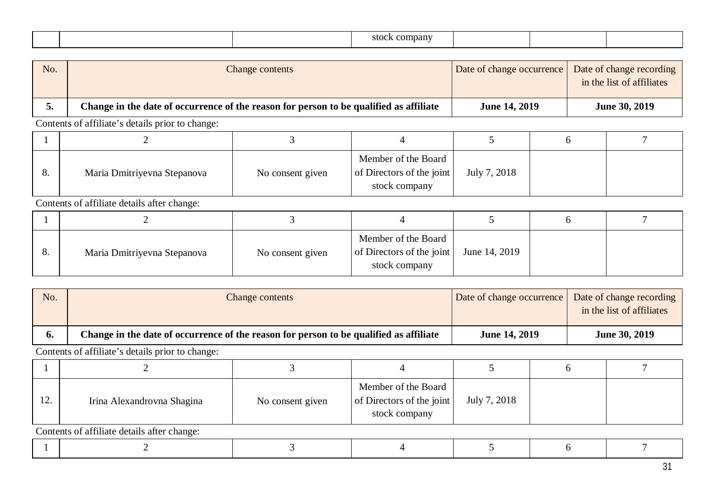|  | ີ<br>$\sim$<br>,,, |  |  |
|--|--------------------|--|--|

| No. | Change contents                                                                        | Date of change occurrence | Date of change recording<br>in the list of affiliates |
|-----|----------------------------------------------------------------------------------------|---------------------------|-------------------------------------------------------|
| ◡.  | Change in the date of occurrence of the reason for person to be qualified as affiliate | <b>June 14, 2019</b>      | June 30, 2019                                         |

| $\mathbf{o}$ . | Maria Dmitriyevna Stepanova | No consent given | Member of the Board<br>of Directors of the joint<br>stock company | July 7, 2018 |  |
|----------------|-----------------------------|------------------|-------------------------------------------------------------------|--------------|--|

Contents of affiliate details after change:

| $\circ$<br>$\circ$ . | Maria Dmitriyevna Stepanova | No consent given | Member of the Board<br>of Directors of the joint<br>stock company | June 14, 2019 |  |
|----------------------|-----------------------------|------------------|-------------------------------------------------------------------|---------------|--|

| No. | Change contents                                                                        | Date of change occurrence | Date of change recording<br>in the list of affiliates |
|-----|----------------------------------------------------------------------------------------|---------------------------|-------------------------------------------------------|
| o.  | Change in the date of occurrence of the reason for person to be qualified as affiliate | <b>June 14, 2019</b>      | June 30, 2019                                         |
|     |                                                                                        |                           |                                                       |

Contents of affiliate's details prior to change:

| ר ו | Irina Alexandrovna Shagina | No consent given | Member of the Board<br>of Directors of the joint<br>stock company | July 7, 2018 |  |
|-----|----------------------------|------------------|-------------------------------------------------------------------|--------------|--|

|--|--|--|--|--|--|--|--|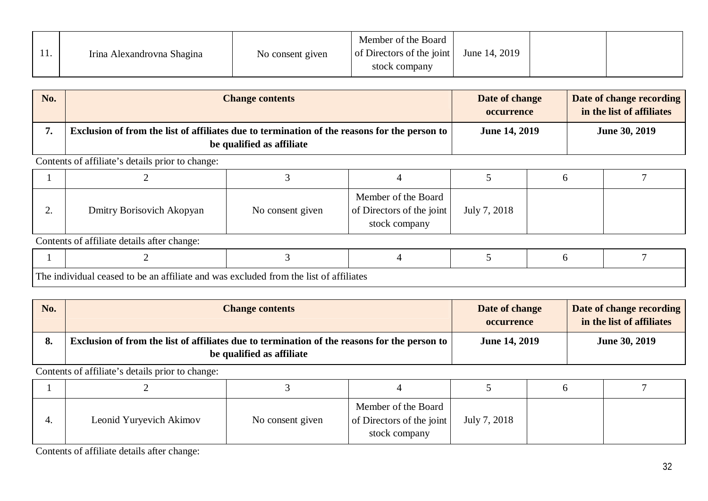| $\mathbf{r}$ | Irina Alexandrovna Shagina | No consent given | Member of the Board<br>of Directors of the joint<br>stock company | June 14, 2019 |  |  |
|--------------|----------------------------|------------------|-------------------------------------------------------------------|---------------|--|--|
|--------------|----------------------------|------------------|-------------------------------------------------------------------|---------------|--|--|

| No. | <b>Change contents</b>                                                                                                           | Date of change<br><b>occurrence</b> | Date of change recording<br>in the list of affiliates |
|-----|----------------------------------------------------------------------------------------------------------------------------------|-------------------------------------|-------------------------------------------------------|
|     | <b>Exclusion of from the list of affiliates due to termination of the reasons for the person to</b><br>be qualified as affiliate | <b>June 14, 2019</b>                | <b>June 30, 2019</b>                                  |

| ∠. | Dmitry Borisovich Akopyan | No consent given | Member of the Board<br>of Directors of the joint<br>stock company | July 7, 2018 |  |
|----|---------------------------|------------------|-------------------------------------------------------------------|--------------|--|

Contents of affiliate details after change:

| $\sqrt{1}$<br>⊥ h≙<br>nc | . he an attiliate and<br>-cessed to<br>ומדי | $\mathbf{v}$<br>tr∩m<br>'e luded<br>- 11 C)<br>tho<br>NC. | $\sim$ $\sim$ 1.<br>attuates<br><b>TTIQC</b> |  |  |  |  |  |  |  |  |
|--------------------------|---------------------------------------------|-----------------------------------------------------------|----------------------------------------------|--|--|--|--|--|--|--|--|

| No.                | <b>Change contents</b>                                                                                                    | Date of change<br><b>occurrence</b> | Date of change recording<br>in the list of affiliates |
|--------------------|---------------------------------------------------------------------------------------------------------------------------|-------------------------------------|-------------------------------------------------------|
| $\mathbf{o}$<br>о. | Exclusion of from the list of affiliates due to termination of the reasons for the person to<br>be qualified as affiliate | <b>June 14, 2019</b>                | June 30, 2019                                         |

Contents of affiliate's details prior to change:

| Leonid Yuryevich Akimov | No consent given | Member of the Board<br>of Directors of the joint<br>stock company | July 7, 2018 |  |
|-------------------------|------------------|-------------------------------------------------------------------|--------------|--|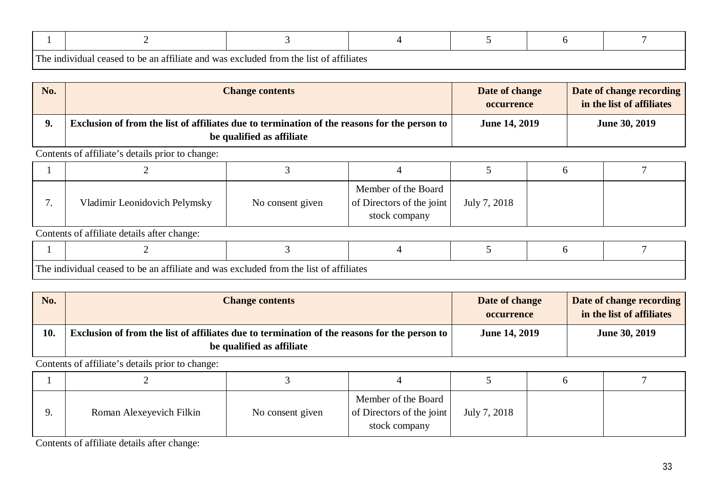| Tha<br>-1 n c | $\sim$ $\sim$ $\sim$ $\sim$<br>excluded trom<br>$\rightarrow$ he an attiliate and was $\cdot$<br>th≙<br>attiliates †<br>i t∩<br>- 11 C t<br>ו פר' |  |  |  |  |  |  |  |  |
|---------------|---------------------------------------------------------------------------------------------------------------------------------------------------|--|--|--|--|--|--|--|--|

| No.         | <b>Change contents</b>                                                                                                      | Date of change<br><b>occurrence</b> | Date of change recording<br>in the list of affiliates |
|-------------|-----------------------------------------------------------------------------------------------------------------------------|-------------------------------------|-------------------------------------------------------|
| $\mathbf o$ | Exclusion of from the list of affiliates due to termination of the reasons for the person to  <br>be qualified as affiliate | <b>June 14, 2019</b>                | <b>June 30, 2019</b>                                  |

| . . | Vladimir Leonidovich Pelymsky | No consent given | Member of the Board<br>of Directors of the joint<br>stock company | July 7, 2018 |  |
|-----|-------------------------------|------------------|-------------------------------------------------------------------|--------------|--|

Contents of affiliate details after change:

| The.<br>.<br>i was excluded<br>l to be an affiliate and<br>l from the<br>Itst of affiliates '<br>. ceaser<br>vidua<br>-111011 |  |  |  |  |  |  |  |  |
|-------------------------------------------------------------------------------------------------------------------------------|--|--|--|--|--|--|--|--|

| No. | <b>Change contents</b>                                                                                                      | Date of change<br><b>occurrence</b> | Date of change recording<br>in the list of affiliates |
|-----|-----------------------------------------------------------------------------------------------------------------------------|-------------------------------------|-------------------------------------------------------|
| 10. | Exclusion of from the list of affiliates due to termination of the reasons for the person to  <br>be qualified as affiliate | <b>June 14, 2019</b>                | <b>June 30, 2019</b>                                  |

Contents of affiliate's details prior to change:

| Q | Roman Alexeyevich Filkin | No consent given | Member of the Board<br>of Directors of the joint<br>stock company | July 7, 2018 |  |
|---|--------------------------|------------------|-------------------------------------------------------------------|--------------|--|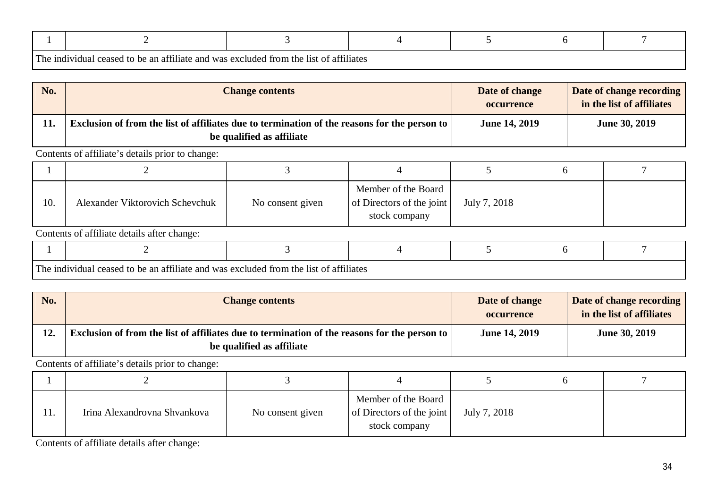| Tha<br>-1 n c | $\rightarrow$ he an attiliate and was $\cdot$<br>i t∩<br>ו פר' | $\sim$ $\sim$ $\sim$ $\sim$<br>excluded trom<br>th≙<br>attiliates †<br>- 11 C t |  |  |
|---------------|----------------------------------------------------------------|---------------------------------------------------------------------------------|--|--|

| No. | <b>Change contents</b>                                                                                                           | Date of change<br><b>occurrence</b> | Date of change recording<br>in the list of affiliates |
|-----|----------------------------------------------------------------------------------------------------------------------------------|-------------------------------------|-------------------------------------------------------|
| 11. | <b>Exclusion of from the list of affiliates due to termination of the reasons for the person to</b><br>be qualified as affiliate | <b>June 14, 2019</b>                | <b>June 30, 2019</b>                                  |

| 10. | Alexander Viktorovich Schevchuk | No consent given | Member of the Board<br>of Directors of the joint<br>stock company | July 7, 2018 |  |
|-----|---------------------------------|------------------|-------------------------------------------------------------------|--------------|--|

Contents of affiliate details after change:

| The. | ceased to be an affiliate and was excluded in<br>~~widual ce | $\sim$ $\sim$ $+$<br>Ltrom the l<br>: of affiliates<br>- 11 et |  |  |
|------|--------------------------------------------------------------|----------------------------------------------------------------|--|--|

| No. | <b>Change contents</b>                                                                                                    | Date of change<br><b>occurrence</b> | Date of change recording<br>in the list of affiliates |
|-----|---------------------------------------------------------------------------------------------------------------------------|-------------------------------------|-------------------------------------------------------|
| 12. | Exclusion of from the list of affiliates due to termination of the reasons for the person to<br>be qualified as affiliate | <b>June 14, 2019</b>                | <b>June 30, 2019</b>                                  |

Contents of affiliate's details prior to change:

| 11. | Irina Alexandrovna Shvankova | No consent given | Member of the Board<br>of Directors of the joint<br>stock company | July 7, 2018 |  |
|-----|------------------------------|------------------|-------------------------------------------------------------------|--------------|--|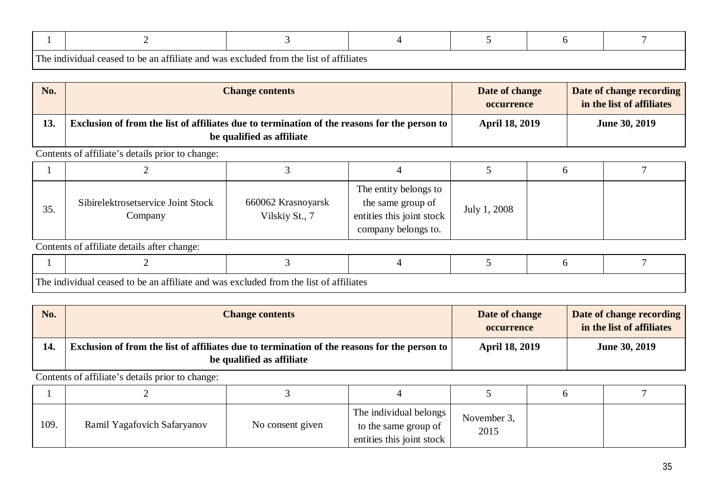| Tha<br>1n | ceased to be an attiliate and $\sqrt{ }$<br>ומי | $\sim$ $\sim$ $\sim$ $\sim$<br>a was excluded from the list.<br>t of affiliates |  |  |
|-----------|-------------------------------------------------|---------------------------------------------------------------------------------|--|--|

| No. | <b>Change contents</b>                                                                                                                                                                                                                                                        | Date of change<br><b>occurrence</b> | Date of change recording<br>in the list of affiliates |
|-----|-------------------------------------------------------------------------------------------------------------------------------------------------------------------------------------------------------------------------------------------------------------------------------|-------------------------------------|-------------------------------------------------------|
| 13. | Exclusion of from the list of affiliates due to termination of the reasons for the person to<br>be qualified as affiliate                                                                                                                                                     | <b>April 18, 2019</b>               | June 30, 2019                                         |
|     | $C_{\rm{2}}$ and $C_{\rm{2}}$ and $C_{\rm{2}}$ and $C_{\rm{2}}$ and $C_{\rm{2}}$ and $C_{\rm{2}}$ and $C_{\rm{2}}$ and $C_{\rm{2}}$ and $C_{\rm{2}}$ and $C_{\rm{2}}$ and $C_{\rm{2}}$ and $C_{\rm{2}}$ and $C_{\rm{2}}$ and $C_{\rm{2}}$ and $C_{\rm{2}}$ and $C_{\rm{2}}$ a |                                     |                                                       |

| 35. | Sibirelektrosetservice Joint Stock<br>Company | 660062 Krasnoyarsk<br>Vilskiy St., 7 | The entity belongs to<br>the same group of<br>entities this joint stock<br>company belongs to. | July 1, 2008 |  |
|-----|-----------------------------------------------|--------------------------------------|------------------------------------------------------------------------------------------------|--------------|--|

Contents of affiliate details after change:

| $T_{\rm thc}$ | and<br>ceased to be<br>an<br>attiliate<br>ıdııal | $\sim$ $\sim$ $+$<br>. was excluded<br>⊟rnm<br>the.<br>list of affiliates ' |  |  |
|---------------|--------------------------------------------------|-----------------------------------------------------------------------------|--|--|

| No. | <b>Change contents</b>                                                                                                    | Date of change<br><b>occurrence</b> | Date of change recording<br>in the list of affiliates |
|-----|---------------------------------------------------------------------------------------------------------------------------|-------------------------------------|-------------------------------------------------------|
| 14. | Exclusion of from the list of affiliates due to termination of the reasons for the person to<br>be qualified as affiliate | <b>April 18, 2019</b>               | <b>June 30, 2019</b>                                  |

Contents of affiliate's details prior to change:

| 109. | Ramil Yagafovich Safaryanov | No consent given | The individual belongs<br>to the same group of<br>entities this joint stock | November 3,<br>2015 |  |
|------|-----------------------------|------------------|-----------------------------------------------------------------------------|---------------------|--|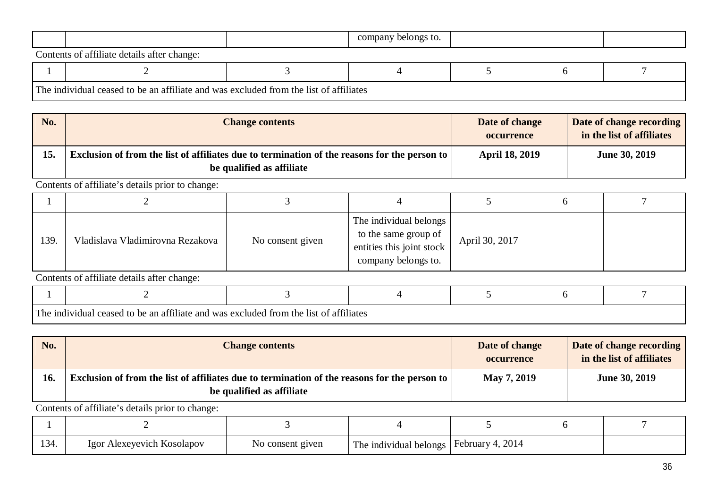|                                                                                       |  | company belongs to. |  |  |  |  |  |  |  |
|---------------------------------------------------------------------------------------|--|---------------------|--|--|--|--|--|--|--|
| Contents of affiliate details after change:                                           |  |                     |  |  |  |  |  |  |  |
|                                                                                       |  |                     |  |  |  |  |  |  |  |
| The individual ceased to be an affiliate and was excluded from the list of affiliates |  |                     |  |  |  |  |  |  |  |

| No. | <b>Change contents</b>                                                                                                           | Date of change<br><b>occurrence</b> | Date of change recording<br>in the list of affiliates |
|-----|----------------------------------------------------------------------------------------------------------------------------------|-------------------------------------|-------------------------------------------------------|
| 15. | <b>Exclusion of from the list of affiliates due to termination of the reasons for the person to</b><br>be qualified as affiliate | <b>April 18, 2019</b>               | <b>June 30, 2019</b>                                  |

| 139. | Vladislava Vladimirovna Rezakova | No consent given | The individual belongs<br>to the same group of<br>entities this joint stock<br>company belongs to. | April 30, 2017 |  |
|------|----------------------------------|------------------|----------------------------------------------------------------------------------------------------|----------------|--|

Contents of affiliate details after change:

| The.<br>1nd1 | ividual ceased to be an affiliate and was<br>vv us | $\sim$ $\sim$ 1.<br>s excluded from :<br>: of affiliates<br>-11S1<br>the |  |  |
|--------------|----------------------------------------------------|--------------------------------------------------------------------------|--|--|

**No. Change contents Change contents Date of change occurrence Date of change recording in the list of affiliates 16. Exclusion of from the list of affiliates due to termination of the reasons for the person to be qualified as affiliate May 7, 2019 June 30, 2019**

Contents of affiliate's details prior to change:

| 134. | Alexeyevich Kosolapov .<br>lgor | No consent given | The individual belongs | 4, 2014<br>February 4 |  |
|------|---------------------------------|------------------|------------------------|-----------------------|--|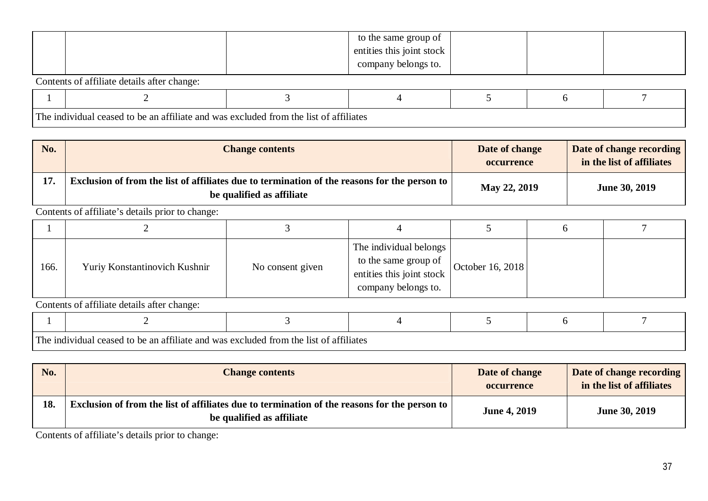|                                             | to the same group of      |  |  |
|---------------------------------------------|---------------------------|--|--|
|                                             | entities this joint stock |  |  |
|                                             | company belongs to.       |  |  |
| Contents of affiliate details after change: |                           |  |  |

Contents of affiliate details after change:

| The. | e individual.<br>an affiliate and<br>്രാലെ<br>ne.<br>- t∩ | t was excluded trom t<br>†he<br>e list of affiliates |  |  |
|------|-----------------------------------------------------------|------------------------------------------------------|--|--|

| No. | <b>Change contents</b>                                                                                                    | Date of change<br><b>occurrence</b> | Date of change recording<br>in the list of affiliates |
|-----|---------------------------------------------------------------------------------------------------------------------------|-------------------------------------|-------------------------------------------------------|
| 17. | Exclusion of from the list of affiliates due to termination of the reasons for the person to<br>be qualified as affiliate | May 22, 2019                        | <b>June 30, 2019</b>                                  |
|     | Contents of affiliate's details prior to change:                                                                          |                                     |                                                       |

Contents of affiliate's details prior to change:

| 166. | Yuriy Konstantinovich Kushnir | No consent given | The individual belongs<br>to the same group of<br>entities this joint stock<br>company belongs to. | October 16, 2018 |  |
|------|-------------------------------|------------------|----------------------------------------------------------------------------------------------------|------------------|--|

Contents of affiliate details after change:

| The individual ceased to be an affiliate and was excluded from the list | 0.011<br>tot affiliates |  |  |
|-------------------------------------------------------------------------|-------------------------|--|--|

| No. | <b>Change contents</b>                                                                                                           | Date of change<br><b>occurrence</b> | Date of change recording<br>in the list of affiliates |
|-----|----------------------------------------------------------------------------------------------------------------------------------|-------------------------------------|-------------------------------------------------------|
| 18. | <b>Exclusion of from the list of affiliates due to termination of the reasons for the person to</b><br>be qualified as affiliate | <b>June 4, 2019</b>                 | <b>June 30, 2019</b>                                  |

Contents of affiliate's details prior to change: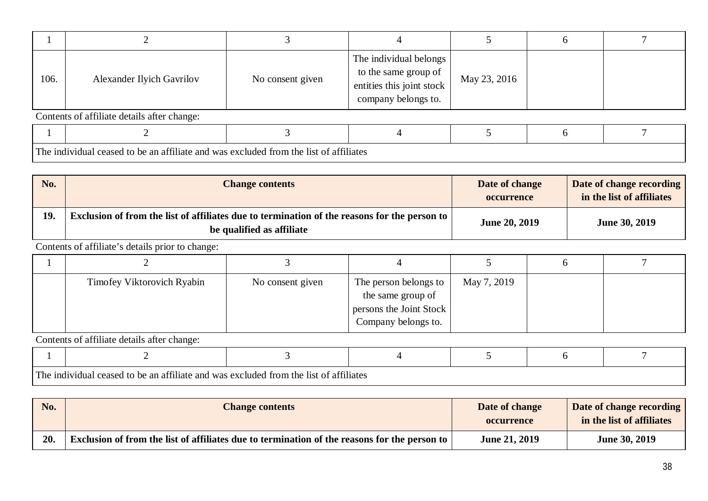| 106. | <b>Alexander Ilyich Gavrilov</b>            | No consent given | The individual belongs<br>to the same group of<br>entities this joint stock<br>company belongs to. | May 23, 2016 |  |  |  |  |  |
|------|---------------------------------------------|------------------|----------------------------------------------------------------------------------------------------|--------------|--|--|--|--|--|
|      | Contents of affiliate details after change: |                  |                                                                                                    |              |  |  |  |  |  |
|      |                                             |                  |                                                                                                    |              |  |  |  |  |  |

The individual ceased to be an affiliate and was excluded from the list of affiliates

| No. | <b>Change contents</b>                                                                                                    | Date of change<br><b>occurrence</b> | Date of change recording<br>in the list of affiliates |
|-----|---------------------------------------------------------------------------------------------------------------------------|-------------------------------------|-------------------------------------------------------|
| 19. | Exclusion of from the list of affiliates due to termination of the reasons for the person to<br>be qualified as affiliate | <b>June 20, 2019</b>                | June 30, 2019                                         |

Contents of affiliate's details prior to change:

| Timofey Viktorovich Ryabin | No consent given | The person belongs to   | May 7, 2019 |  |
|----------------------------|------------------|-------------------------|-------------|--|
|                            |                  | the same group of       |             |  |
|                            |                  | persons the Joint Stock |             |  |
|                            |                  | Company belongs to.     |             |  |

| Tha<br>I ceased to be an affiliate and was excluded from the list of affiliates<br>: individual |  |  |  |  |  |  |  |  |
|-------------------------------------------------------------------------------------------------|--|--|--|--|--|--|--|--|

| No. | <b>Change contents</b>                                                                       | Date of change<br><b>occurrence</b> | Date of change recording<br>in the list of affiliates |
|-----|----------------------------------------------------------------------------------------------|-------------------------------------|-------------------------------------------------------|
| 20. | Exclusion of from the list of affiliates due to termination of the reasons for the person to | <b>June 21, 2019</b>                | <b>June 30, 2019</b>                                  |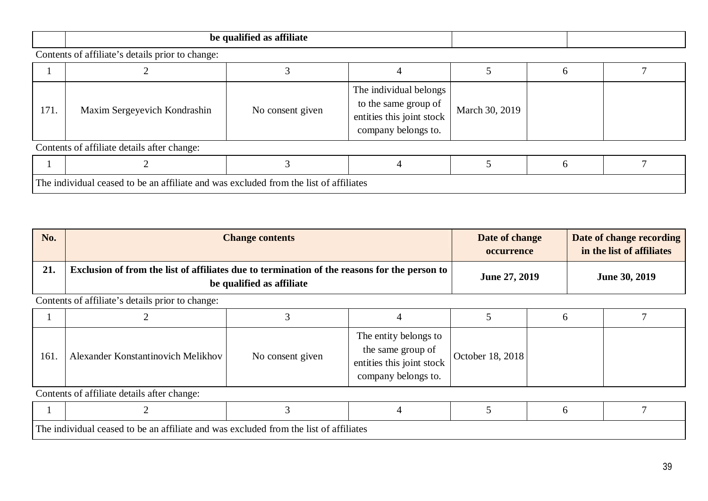| n.<br>w |  |
|---------|--|
|         |  |

| 171. | Maxim Sergeyevich Kondrashin | No consent given | The individual belongs<br>to the same group of<br>entities this joint stock<br>company belongs to. | March 30, 2019 |  |
|------|------------------------------|------------------|----------------------------------------------------------------------------------------------------|----------------|--|

Contents of affiliate details after change:

| The. | l to be an affiliate<br>: 1nd1v1d11a<br>ceased | and was excluded from the list on<br>of affiliates |  |  |
|------|------------------------------------------------|----------------------------------------------------|--|--|

| No. | <b>Change contents</b>                                                                                                           | Date of change<br><b>occurrence</b> | Date of change recording<br>in the list of affiliates |
|-----|----------------------------------------------------------------------------------------------------------------------------------|-------------------------------------|-------------------------------------------------------|
| 21. | <b>Exclusion of from the list of affiliates due to termination of the reasons for the person to</b><br>be qualified as affiliate | June 27, 2019                       | June 30, 2019                                         |

Contents of affiliate's details prior to change:

| 161. | Alexander Konstantinovich Melikhov       | No consent given | The entity belongs to<br>the same group of<br>entities this joint stock<br>company belongs to. | October 18, 2018 |  |
|------|------------------------------------------|------------------|------------------------------------------------------------------------------------------------|------------------|--|
|      | $\alpha$ , c course is a set of $\alpha$ |                  |                                                                                                |                  |  |

| The individual ceased to be an affiliate and was excluded from the list | $\sim$ $\sim$ 1.<br>c of affiliates |  |  |
|-------------------------------------------------------------------------|-------------------------------------|--|--|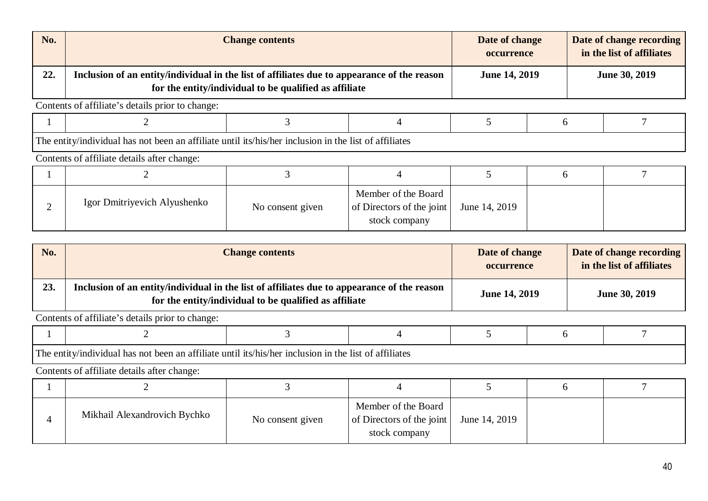| No.            | <b>Change contents</b>                                                                                |                                                                                                                                                       |                                                                   | Date of change<br>occurrence |   | Date of change recording<br>in the list of affiliates |  |
|----------------|-------------------------------------------------------------------------------------------------------|-------------------------------------------------------------------------------------------------------------------------------------------------------|-------------------------------------------------------------------|------------------------------|---|-------------------------------------------------------|--|
| 22.            |                                                                                                       | Inclusion of an entity/individual in the list of affiliates due to appearance of the reason<br>for the entity/individual to be qualified as affiliate |                                                                   | <b>June 14, 2019</b>         |   | June 30, 2019                                         |  |
|                | Contents of affiliate's details prior to change:                                                      |                                                                                                                                                       |                                                                   |                              |   |                                                       |  |
|                |                                                                                                       |                                                                                                                                                       | 4                                                                 | 5                            | 6 |                                                       |  |
|                | The entity/individual has not been an affiliate until its/his/her inclusion in the list of affiliates |                                                                                                                                                       |                                                                   |                              |   |                                                       |  |
|                | Contents of affiliate details after change:                                                           |                                                                                                                                                       |                                                                   |                              |   |                                                       |  |
|                |                                                                                                       | 3                                                                                                                                                     | 4                                                                 | 5                            | 6 |                                                       |  |
| $\overline{2}$ | Igor Dmitriyevich Alyushenko                                                                          | No consent given                                                                                                                                      | Member of the Board<br>of Directors of the joint<br>stock company | June 14, 2019                |   |                                                       |  |

| No. | <b>Change contents</b>                                                                                                                                | Date of change<br><b>occurrence</b> | Date of change recording<br>in the list of affiliates |
|-----|-------------------------------------------------------------------------------------------------------------------------------------------------------|-------------------------------------|-------------------------------------------------------|
| 23. | Inclusion of an entity/individual in the list of affiliates due to appearance of the reason<br>for the entity/individual to be qualified as affiliate | <b>June 14, 2019</b>                | <b>June 30, 2019</b>                                  |
|     | Contante of efficience details prior to obeness                                                                                                       |                                     |                                                       |

| m.<br>1 he<br>entit | 0.0011<br>'ındıvıdual<br>n∩t⊤<br>-nas<br>: been an aff | <sup>.</sup> 1nclus10n<br>tiliate until its/his/her | 1l1ates<br>11 S 1 |  |  |
|---------------------|--------------------------------------------------------|-----------------------------------------------------|-------------------|--|--|

| Mikhail Alexandrovich Bychko | No consent given | Member of the Board<br>of Directors of the joint<br>stock company | June 14, 2019 |  |
|------------------------------|------------------|-------------------------------------------------------------------|---------------|--|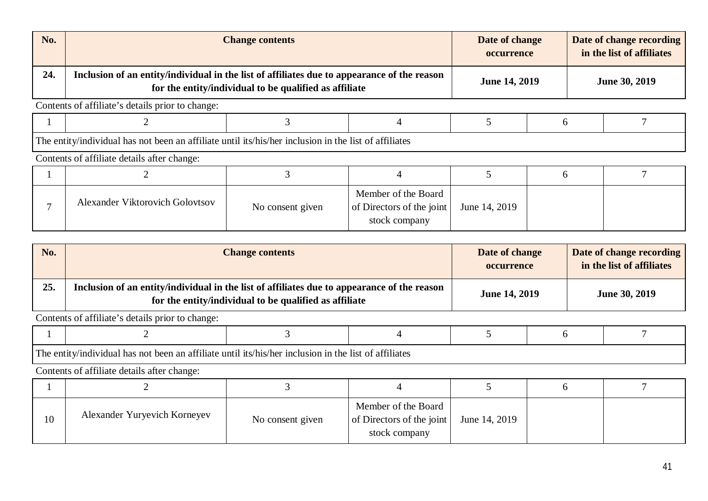| No. | <b>Change contents</b>                                                                                |                                                                                                                                                       |                                                                   | Date of change<br>occurrence |   | Date of change recording<br>in the list of affiliates |  |
|-----|-------------------------------------------------------------------------------------------------------|-------------------------------------------------------------------------------------------------------------------------------------------------------|-------------------------------------------------------------------|------------------------------|---|-------------------------------------------------------|--|
| 24. |                                                                                                       | Inclusion of an entity/individual in the list of affiliates due to appearance of the reason<br>for the entity/individual to be qualified as affiliate |                                                                   | <b>June 14, 2019</b>         |   | June 30, 2019                                         |  |
|     | Contents of affiliate's details prior to change:                                                      |                                                                                                                                                       |                                                                   |                              |   |                                                       |  |
|     |                                                                                                       |                                                                                                                                                       | 4                                                                 | 5                            | 6 |                                                       |  |
|     | The entity/individual has not been an affiliate until its/his/her inclusion in the list of affiliates |                                                                                                                                                       |                                                                   |                              |   |                                                       |  |
|     | Contents of affiliate details after change:                                                           |                                                                                                                                                       |                                                                   |                              |   |                                                       |  |
|     |                                                                                                       | 3                                                                                                                                                     | 4                                                                 |                              | 6 |                                                       |  |
|     | <b>Alexander Viktorovich Golovtsov</b>                                                                | No consent given                                                                                                                                      | Member of the Board<br>of Directors of the joint<br>stock company | June 14, 2019                |   |                                                       |  |

| No. | <b>Change contents</b>                                                                                                                                | Date of change<br><b>occurrence</b> | Date of change recording<br>in the list of affiliates |
|-----|-------------------------------------------------------------------------------------------------------------------------------------------------------|-------------------------------------|-------------------------------------------------------|
| 25. | Inclusion of an entity/individual in the list of affiliates due to appearance of the reason<br>for the entity/individual to be qualified as affiliate | <b>June 14, 2019</b>                | June 30, 2019                                         |

| m<br>l≏mf | //individual has not<br>aliate.<br>-neen<br>ı an att | e until its/his/her inclusion<br>tηa | affiliates<br>-l1St<br>ΩT |  |  |
|-----------|------------------------------------------------------|--------------------------------------|---------------------------|--|--|

| 10 | Alexander Yuryevich Korneyev | No consent given | Member of the Board<br>of Directors of the joint<br>stock company | June 14, 2019 |  |
|----|------------------------------|------------------|-------------------------------------------------------------------|---------------|--|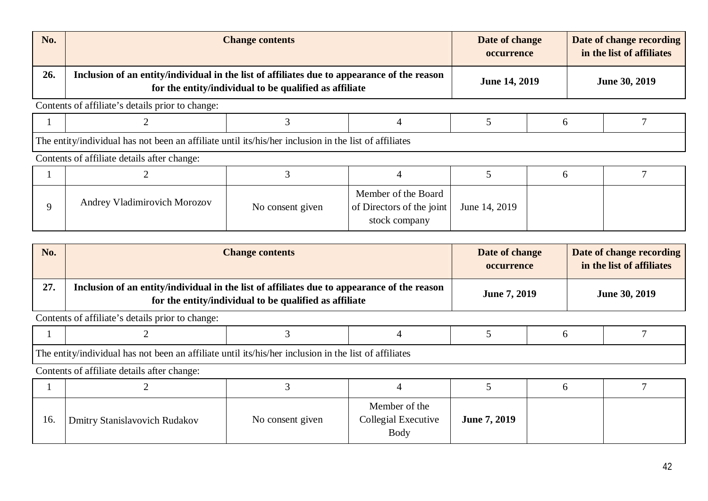| No. | <b>Change contents</b>                                                                                                                                |                  |                                                                   | Date of change<br>occurrence |                      | Date of change recording<br>in the list of affiliates |  |
|-----|-------------------------------------------------------------------------------------------------------------------------------------------------------|------------------|-------------------------------------------------------------------|------------------------------|----------------------|-------------------------------------------------------|--|
| 26. | Inclusion of an entity/individual in the list of affiliates due to appearance of the reason<br>for the entity/individual to be qualified as affiliate |                  | <b>June 14, 2019</b>                                              |                              | <b>June 30, 2019</b> |                                                       |  |
|     | Contents of affiliate's details prior to change:                                                                                                      |                  |                                                                   |                              |                      |                                                       |  |
|     |                                                                                                                                                       | 3                | 4                                                                 | 5                            | 6                    |                                                       |  |
|     | The entity/individual has not been an affiliate until its/his/her inclusion in the list of affiliates                                                 |                  |                                                                   |                              |                      |                                                       |  |
|     | Contents of affiliate details after change:                                                                                                           |                  |                                                                   |                              |                      |                                                       |  |
|     |                                                                                                                                                       | 3                | 4                                                                 | 5                            | 6                    |                                                       |  |
| 9   | <b>Andrey Vladimirovich Morozov</b>                                                                                                                   | No consent given | Member of the Board<br>of Directors of the joint<br>stock company | June 14, 2019                |                      |                                                       |  |
|     |                                                                                                                                                       |                  |                                                                   |                              |                      |                                                       |  |

| No. | <b>Change contents</b>                                                                                                                                | Date of change<br><b>occurrence</b> | Date of change recording<br>in the list of affiliates |
|-----|-------------------------------------------------------------------------------------------------------------------------------------------------------|-------------------------------------|-------------------------------------------------------|
| 27. | Inclusion of an entity/individual in the list of affiliates due to appearance of the reason<br>for the entity/individual to be qualified as affiliate | <b>June 7, 2019</b>                 | June 30, 2019                                         |

| $\mathbf{r}$<br>Ant 11 | ∙ר∙י<br>⊢an att <sup>.</sup><br>//1nd1v1dual<br>filiate<br>s not -<br>- heen<br>็ has | e until its/his/her<br>inclusion<br>1 n<br>the | $\sim$ $\sim$ 1.<br>. of affiliates<br>-11St |  |  |
|------------------------|---------------------------------------------------------------------------------------|------------------------------------------------|----------------------------------------------|--|--|

| 16. | <b>Dmitry Stanislavovich Rudakov</b> | No consent given | Member of the<br>Collegial Executive<br><b>Body</b> | <b>June 7, 2019</b> |  |
|-----|--------------------------------------|------------------|-----------------------------------------------------|---------------------|--|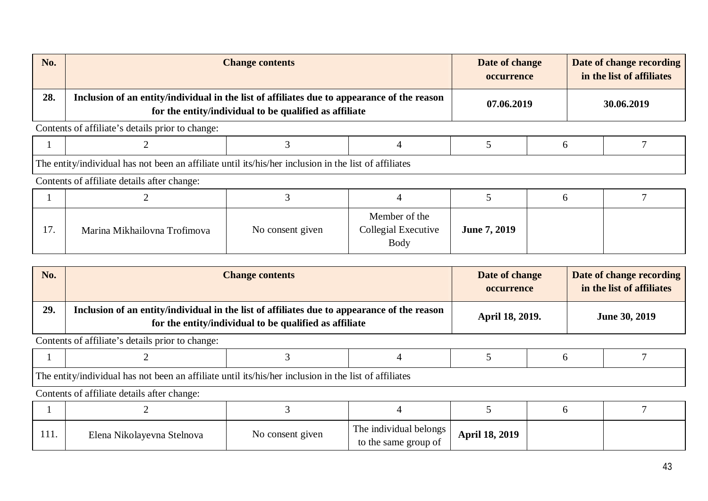| No. | <b>Change contents</b>                                                                                                                                |                  |                                              | Date of change<br>occurrence |   | Date of change recording<br>in the list of affiliates |               |  |  |
|-----|-------------------------------------------------------------------------------------------------------------------------------------------------------|------------------|----------------------------------------------|------------------------------|---|-------------------------------------------------------|---------------|--|--|
| 28. | Inclusion of an entity/individual in the list of affiliates due to appearance of the reason<br>for the entity/individual to be qualified as affiliate |                  |                                              | 07.06.2019                   |   | 30.06.2019                                            |               |  |  |
|     | Contents of affiliate's details prior to change:                                                                                                      |                  |                                              |                              |   |                                                       |               |  |  |
|     |                                                                                                                                                       | 3                | 4                                            | 5                            | 6 |                                                       | $\mathcal{I}$ |  |  |
|     | The entity/individual has not been an affiliate until its/his/her inclusion in the list of affiliates                                                 |                  |                                              |                              |   |                                                       |               |  |  |
|     | Contents of affiliate details after change:                                                                                                           |                  |                                              |                              |   |                                                       |               |  |  |
|     | 2                                                                                                                                                     | 3                | 4                                            | 5                            | 6 |                                                       |               |  |  |
| 17. | Marina Mikhailovna Trofimova                                                                                                                          | No consent given | Member of the<br>Collegial Executive<br>Body | June 7, 2019                 |   |                                                       |               |  |  |
| No. | Date of change<br>Date of change recording<br><b>Change contents</b>                                                                                  |                  |                                              |                              |   |                                                       |               |  |  |

| No.  |                                                                                                                                                       | <b>Change contents</b> |                                                |                       | Date of change<br><b>occurrence</b> | Date of change recording<br>in the list of affiliates |  |  |  |
|------|-------------------------------------------------------------------------------------------------------------------------------------------------------|------------------------|------------------------------------------------|-----------------------|-------------------------------------|-------------------------------------------------------|--|--|--|
| 29.  | Inclusion of an entity/individual in the list of affiliates due to appearance of the reason<br>for the entity/individual to be qualified as affiliate |                        |                                                | April 18, 2019.       |                                     | <b>June 30, 2019</b>                                  |  |  |  |
|      | Contents of affiliate's details prior to change:                                                                                                      |                        |                                                |                       |                                     |                                                       |  |  |  |
|      |                                                                                                                                                       |                        |                                                |                       | 6                                   |                                                       |  |  |  |
|      | The entity/individual has not been an affiliate until its/his/her inclusion in the list of affiliates                                                 |                        |                                                |                       |                                     |                                                       |  |  |  |
|      | Contents of affiliate details after change:                                                                                                           |                        |                                                |                       |                                     |                                                       |  |  |  |
|      |                                                                                                                                                       |                        |                                                |                       | 6                                   |                                                       |  |  |  |
| 111. | Elena Nikolayevna Stelnova                                                                                                                            | No consent given       | The individual belongs<br>to the same group of | <b>April 18, 2019</b> |                                     |                                                       |  |  |  |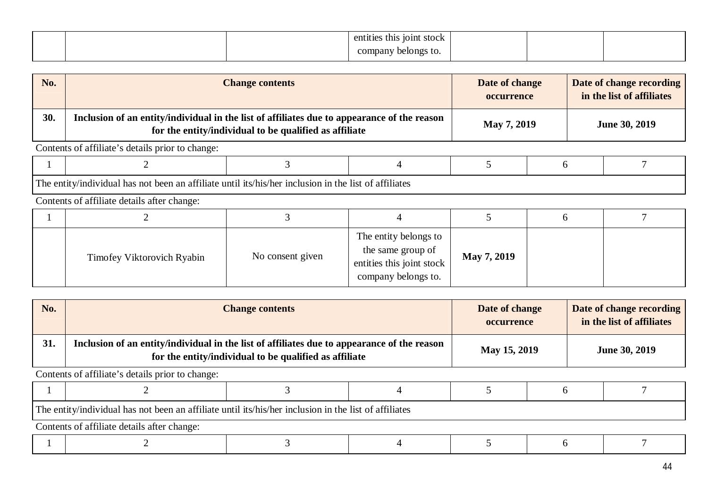|  | entities this joint<br>stock |  |  |
|--|------------------------------|--|--|
|  | company<br>elongs to.<br>ັ   |  |  |

| No. |                                                                                                                                                       | <b>Change contents</b>       |                                                                                                |                                                       | Date of change<br>occurrence |  | Date of change recording<br>in the list of affiliates |  |
|-----|-------------------------------------------------------------------------------------------------------------------------------------------------------|------------------------------|------------------------------------------------------------------------------------------------|-------------------------------------------------------|------------------------------|--|-------------------------------------------------------|--|
| 30. | Inclusion of an entity/individual in the list of affiliates due to appearance of the reason<br>for the entity/individual to be qualified as affiliate | May 7, 2019                  |                                                                                                |                                                       | June 30, 2019                |  |                                                       |  |
|     | Contents of affiliate's details prior to change:                                                                                                      |                              |                                                                                                |                                                       |                              |  |                                                       |  |
|     | 2                                                                                                                                                     | 3                            | 4                                                                                              | 5                                                     | 6                            |  |                                                       |  |
|     | The entity/individual has not been an affiliate until its/his/her inclusion in the list of affiliates                                                 |                              |                                                                                                |                                                       |                              |  |                                                       |  |
|     | Contents of affiliate details after change:                                                                                                           |                              |                                                                                                |                                                       |                              |  |                                                       |  |
|     | $\overline{2}$                                                                                                                                        | 3                            |                                                                                                | 5                                                     | 6                            |  |                                                       |  |
|     | Timofey Viktorovich Ryabin                                                                                                                            | No consent given             | The entity belongs to<br>the same group of<br>entities this joint stock<br>company belongs to. | May 7, 2019                                           |                              |  |                                                       |  |
|     |                                                                                                                                                       |                              |                                                                                                |                                                       |                              |  |                                                       |  |
| No. | <b>Change contents</b>                                                                                                                                | Date of change<br>occurrence |                                                                                                | Date of change recording<br>in the list of affiliates |                              |  |                                                       |  |

|                                             |                                                                                                       |                                                                                                                                                       |  |  | occurrence   | in the list of affiliates |  |  |
|---------------------------------------------|-------------------------------------------------------------------------------------------------------|-------------------------------------------------------------------------------------------------------------------------------------------------------|--|--|--------------|---------------------------|--|--|
| 31.                                         |                                                                                                       | Inclusion of an entity/individual in the list of affiliates due to appearance of the reason<br>for the entity/individual to be qualified as affiliate |  |  | May 15, 2019 | June 30, 2019             |  |  |
|                                             | Contents of affiliate's details prior to change:                                                      |                                                                                                                                                       |  |  |              |                           |  |  |
|                                             |                                                                                                       |                                                                                                                                                       |  |  |              |                           |  |  |
|                                             | The entity/individual has not been an affiliate until its/his/her inclusion in the list of affiliates |                                                                                                                                                       |  |  |              |                           |  |  |
| Contents of affiliate details after change: |                                                                                                       |                                                                                                                                                       |  |  |              |                           |  |  |
|                                             |                                                                                                       |                                                                                                                                                       |  |  |              |                           |  |  |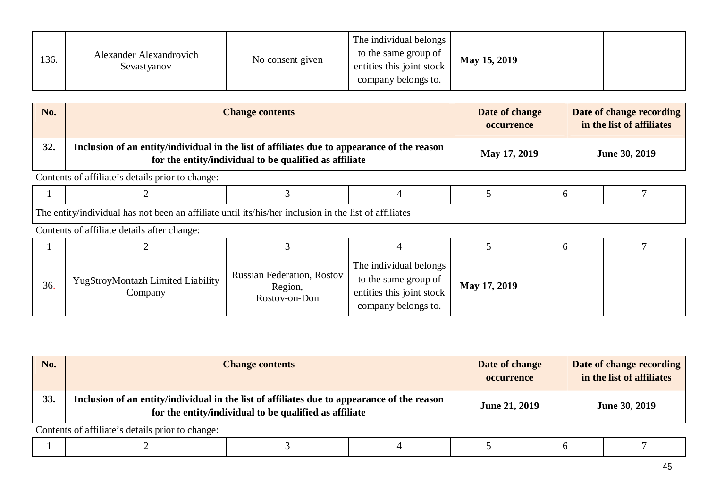| 136. | Alexander Alexandrovich<br>Sevastyanov | No consent given | The individual belongs<br>to the same group of<br>entities this joint stock<br>company belongs to. | May 15, 2019 |  |  |
|------|----------------------------------------|------------------|----------------------------------------------------------------------------------------------------|--------------|--|--|
|------|----------------------------------------|------------------|----------------------------------------------------------------------------------------------------|--------------|--|--|

| No. | <b>Change contents</b>                                                                                |                                                                                                                                                       |                                                                             | Date of change<br>occurrence |              |  | Date of change recording<br>in the list of affiliates |  |
|-----|-------------------------------------------------------------------------------------------------------|-------------------------------------------------------------------------------------------------------------------------------------------------------|-----------------------------------------------------------------------------|------------------------------|--------------|--|-------------------------------------------------------|--|
| 32. |                                                                                                       | Inclusion of an entity/individual in the list of affiliates due to appearance of the reason<br>for the entity/individual to be qualified as affiliate |                                                                             |                              | May 17, 2019 |  | <b>June 30, 2019</b>                                  |  |
|     | Contents of affiliate's details prior to change:                                                      |                                                                                                                                                       |                                                                             |                              |              |  |                                                       |  |
|     |                                                                                                       |                                                                                                                                                       |                                                                             |                              | 6            |  |                                                       |  |
|     | The entity/individual has not been an affiliate until its/his/her inclusion in the list of affiliates |                                                                                                                                                       |                                                                             |                              |              |  |                                                       |  |
|     | Contents of affiliate details after change:                                                           |                                                                                                                                                       |                                                                             |                              |              |  |                                                       |  |
|     |                                                                                                       |                                                                                                                                                       |                                                                             |                              | 6            |  |                                                       |  |
| 36. | <b>YugStroyMontazh Limited Liability</b><br>Company                                                   | <b>Russian Federation, Rostov</b><br>Region,<br>$R^{otay-on-Don}$                                                                                     | The individual belongs<br>to the same group of<br>entities this joint stock | May 17, 2019                 |              |  |                                                       |  |

| No. | <b>Change contents</b>                                                                                                                                | Date of change<br>occurrence | Date of change recording<br>in the list of affiliates |  |  |  |  |  |  |
|-----|-------------------------------------------------------------------------------------------------------------------------------------------------------|------------------------------|-------------------------------------------------------|--|--|--|--|--|--|
| 33. | Inclusion of an entity/individual in the list of affiliates due to appearance of the reason<br>for the entity/individual to be qualified as affiliate | <b>June 21, 2019</b>         | June 30, 2019                                         |  |  |  |  |  |  |
|     | Contents of affiliate's details prior to change:                                                                                                      |                              |                                                       |  |  |  |  |  |  |

company belongs to.

Rostov-on-Don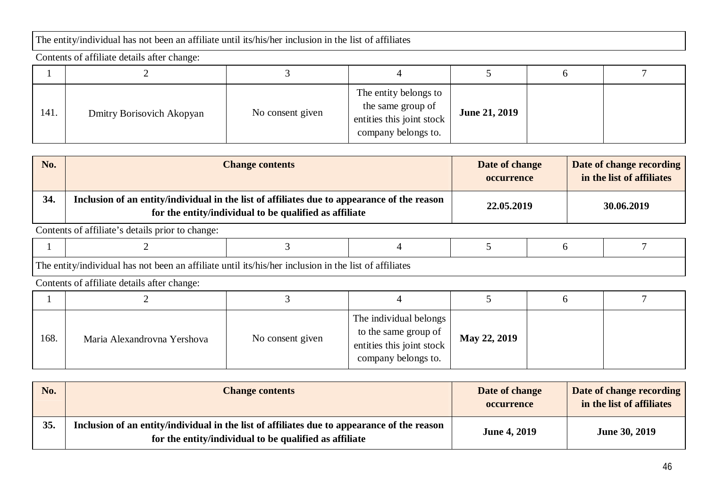## The entity/individual has not been an affiliate until its/his/her inclusion in the list of affiliates

Contents of affiliate details after change:

| 141. | Dmitry Borisovich Akopyan | No consent given | The entity belongs to<br>the same group of<br>entities this joint stock<br>company belongs to. | <b>June 21, 2019</b> |  |
|------|---------------------------|------------------|------------------------------------------------------------------------------------------------|----------------------|--|

| No. | <b>Change contents</b>                                                                                                                                | Date of change<br><b>occurrence</b> | Date of change recording<br>in the list of affiliates |
|-----|-------------------------------------------------------------------------------------------------------------------------------------------------------|-------------------------------------|-------------------------------------------------------|
| 34. | Inclusion of an entity/individual in the list of affiliates due to appearance of the reason<br>for the entity/individual to be qualified as affiliate | 22.05.2019                          | 30.06.2019                                            |

Contents of affiliate's details prior to change:

| $T_{\rm{he}}$<br>ent⊾ | $\sim$ $\sim$ $\sim$<br>dividual<br>$n_{\Omega}$<br>-nas<br>111216ء<br>- an<br>heen<br>-atı<br>.nc | 7/his/her inclusion ).<br>1r<br>the<br>until<br>11 C | `attiliate.<br>-11ST |  |  |
|-----------------------|----------------------------------------------------------------------------------------------------|------------------------------------------------------|----------------------|--|--|

| 168. | Maria Alexandrovna Yershova | No consent given | The individual belongs<br>to the same group of<br>entities this joint stock<br>company belongs to. | May 22, 2019 |  |
|------|-----------------------------|------------------|----------------------------------------------------------------------------------------------------|--------------|--|

| No. | <b>Change contents</b>                                                                                                                                | Date of change<br><b>occurrence</b> | Date of change recording<br>in the list of affiliates |
|-----|-------------------------------------------------------------------------------------------------------------------------------------------------------|-------------------------------------|-------------------------------------------------------|
| 35. | Inclusion of an entity/individual in the list of affiliates due to appearance of the reason<br>for the entity/individual to be qualified as affiliate | <b>June 4, 2019</b>                 | June 30, 2019                                         |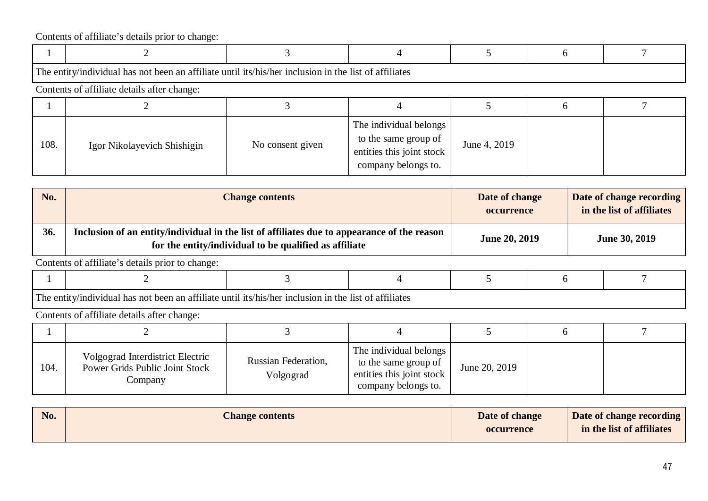| $Tha$ . | $\sim$<br>e entity/individual<br>has<br>not<br>111ate<br>an<br>heen.<br>аг | l its/his/her incl<br>: lusion<br>1n<br>until<br>the.<br>ւււա | attiliates:<br>$\sim$ +<br>-list |  |  |
|---------|----------------------------------------------------------------------------|---------------------------------------------------------------|----------------------------------|--|--|

Contents of affiliate details after change:

| 108. | Igor Nikolayevich Shishigin | No consent given | The individual belongs<br>to the same group of<br>entities this joint stock<br>company belongs to. | June 4, 2019 |  |
|------|-----------------------------|------------------|----------------------------------------------------------------------------------------------------|--------------|--|

| No. | <b>Change contents</b>                                                                                                                                | Date of change<br><b>occurrence</b> | Date of change recording<br>in the list of affiliates |
|-----|-------------------------------------------------------------------------------------------------------------------------------------------------------|-------------------------------------|-------------------------------------------------------|
| 36. | Inclusion of an entity/individual in the list of affiliates due to appearance of the reason<br>for the entity/individual to be qualified as affiliate | June 20, 2019                       | June 30, 2019                                         |

Contents of affiliate's details prior to change:

| l mu<br>ി h≙ ≙nt1t | $\sim$ $\sim$ $\sim$ $\sim$<br>tww.hv/1171<br>al hac not heen an att | attılıqta untıl ite/hie/har -<br>r inelueion in the liet. | t ot attılıatec |  |  |
|--------------------|----------------------------------------------------------------------|-----------------------------------------------------------|-----------------|--|--|

The entity/individual has not been an affiliate until its/his/her inclusion in the list of affiliates

| 104. | Volgograd Interdistrict Electric<br>Power Grids Public Joint Stock<br>Company | Russian Federation,<br>Volgograd | The individual belongs<br>to the same group of<br>entities this joint stock<br>company belongs to. | June 20, 2019 |  |
|------|-------------------------------------------------------------------------------|----------------------------------|----------------------------------------------------------------------------------------------------|---------------|--|

| No. | <b>Change contents</b> | Date of change    | Date of change recording  |
|-----|------------------------|-------------------|---------------------------|
|     |                        | <b>occurrence</b> | in the list of affiliates |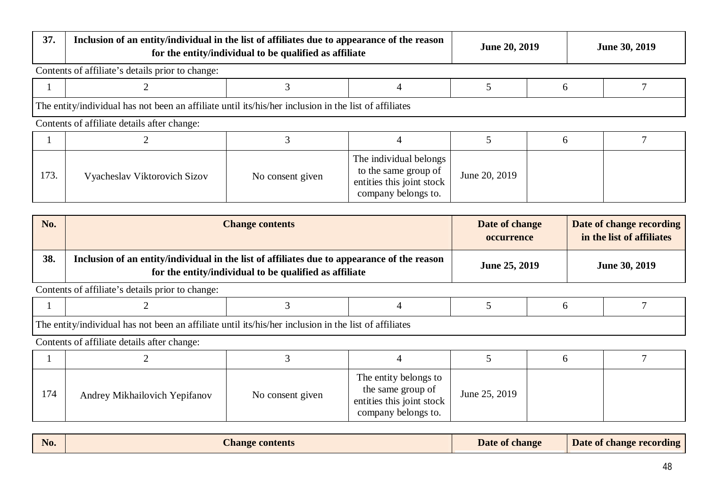| 37.        | Inclusion of an entity/individual in the list of affiliates due to appearance of the reason           | for the entity/individual to be qualified as affiliate |                                                                                                    | <b>June 20, 2019</b>         |   | June 30, 2019                                         |
|------------|-------------------------------------------------------------------------------------------------------|--------------------------------------------------------|----------------------------------------------------------------------------------------------------|------------------------------|---|-------------------------------------------------------|
|            | Contents of affiliate's details prior to change:                                                      |                                                        |                                                                                                    |                              |   |                                                       |
|            | 2                                                                                                     | 3                                                      | 4                                                                                                  | 5                            | 6 | 7                                                     |
|            | The entity/individual has not been an affiliate until its/his/her inclusion in the list of affiliates |                                                        |                                                                                                    |                              |   |                                                       |
|            | Contents of affiliate details after change:                                                           |                                                        |                                                                                                    |                              |   |                                                       |
|            |                                                                                                       | 3                                                      | 4                                                                                                  | 5                            | 6 | 7                                                     |
| 173.       | Vyacheslav Viktorovich Sizov                                                                          | No consent given                                       | The individual belongs<br>to the same group of<br>entities this joint stock<br>company belongs to. | June 20, 2019                |   |                                                       |
| <b>No.</b> |                                                                                                       | <b>Change contents</b>                                 |                                                                                                    | Date of change<br>occurrence |   | Date of change recording<br>in the list of affiliates |
| 38.        | Inclusion of an entity/individual in the list of affiliates due to appearance of the reason           | for the entity/individual to be qualified as affiliate |                                                                                                    | June 25, 2019                |   | June 30, 2019                                         |
|            | Contents of affiliate's details prior to change:                                                      |                                                        |                                                                                                    |                              |   |                                                       |
|            | $\overline{2}$                                                                                        | 3                                                      | 4                                                                                                  | 5                            | 6 | 7                                                     |
|            | The entity/individual has not been an affiliate until its/his/her inclusion in the list of affiliates |                                                        |                                                                                                    |                              |   |                                                       |
|            | Contents of affiliate details after change:                                                           |                                                        |                                                                                                    |                              |   |                                                       |
|            |                                                                                                       | 3                                                      | 4                                                                                                  | 5                            | 6 | 7                                                     |

**No. Change contents Date of change Date of change Date of change Date of change recording** 

The entity belongs to the same group of entities this joint stock company belongs to.

June 25, 2019

174 | Andrey Mikhailovich Yepifanov | No consent given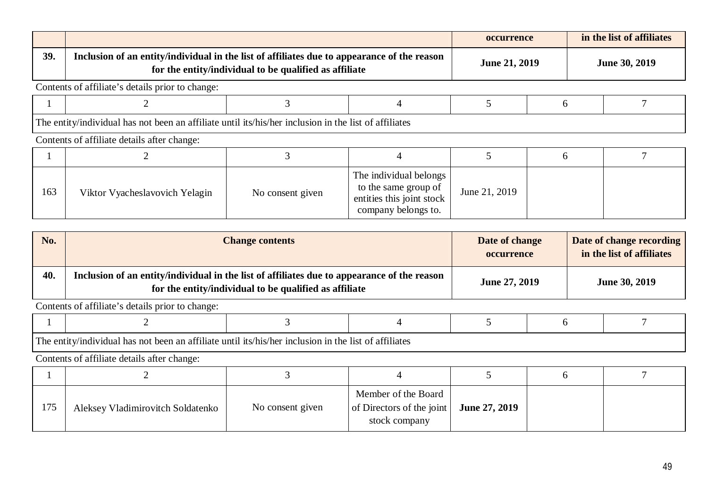|     |                                                                                                                                                       |                  |                                                                                                    | occurrence    |   |  | in the list of affiliates |
|-----|-------------------------------------------------------------------------------------------------------------------------------------------------------|------------------|----------------------------------------------------------------------------------------------------|---------------|---|--|---------------------------|
| 39. | Inclusion of an entity/individual in the list of affiliates due to appearance of the reason<br>for the entity/individual to be qualified as affiliate |                  |                                                                                                    | June 21, 2019 |   |  | June 30, 2019             |
|     | Contents of affiliate's details prior to change:                                                                                                      |                  |                                                                                                    |               |   |  |                           |
|     |                                                                                                                                                       | 3                | 4                                                                                                  | 5             | 6 |  |                           |
|     | The entity/individual has not been an affiliate until its/his/her inclusion in the list of affiliates                                                 |                  |                                                                                                    |               |   |  |                           |
|     | Contents of affiliate details after change:                                                                                                           |                  |                                                                                                    |               |   |  |                           |
|     |                                                                                                                                                       | 3                |                                                                                                    |               | 6 |  |                           |
| 163 | Viktor Vyacheslavovich Yelagin                                                                                                                        | No consent given | The individual belongs<br>to the same group of<br>entities this joint stock<br>company belongs to. | June 21, 2019 |   |  |                           |

| No. | <b>Change contents</b>                                                                                                                                | Date of change<br><b>occurrence</b> | Date of change recording<br>in the list of affiliates |
|-----|-------------------------------------------------------------------------------------------------------------------------------------------------------|-------------------------------------|-------------------------------------------------------|
| 40. | Inclusion of an entity/individual in the list of affiliates due to appearance of the reason<br>for the entity/individual to be qualified as affiliate | June 27, 2019                       | <b>June 30, 2019</b>                                  |
|     |                                                                                                                                                       |                                     |                                                       |

The entity/individual has not been an affiliate until its/his/her inclusion in the list of affiliates

| 175 | Aleksey Vladimirovitch Soldatenko | No consent given | Member of the Board<br>of Directors of the joint $\vert$ June 27, 2019<br>stock company |  |  |
|-----|-----------------------------------|------------------|-----------------------------------------------------------------------------------------|--|--|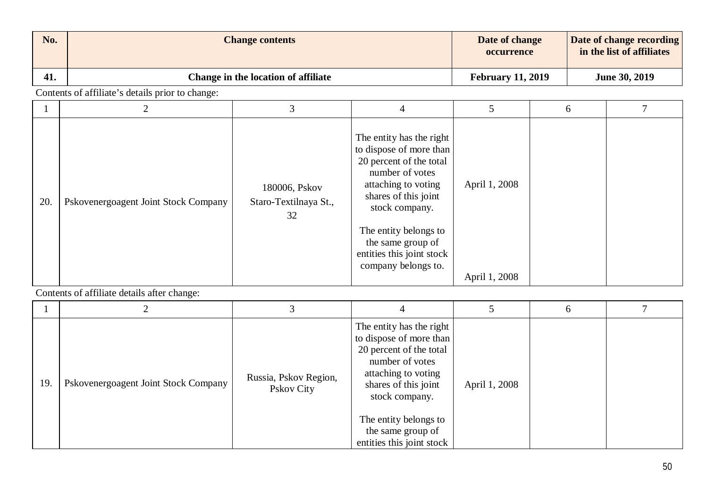| No. | <b>Change contents</b>                           | Date of change<br>occurrence                 |                                                                                                                                                                                                                                                                      |                                | Date of change recording<br>in the list of affiliates |               |   |
|-----|--------------------------------------------------|----------------------------------------------|----------------------------------------------------------------------------------------------------------------------------------------------------------------------------------------------------------------------------------------------------------------------|--------------------------------|-------------------------------------------------------|---------------|---|
| 41. |                                                  | Change in the location of affiliate          |                                                                                                                                                                                                                                                                      | <b>February 11, 2019</b>       |                                                       | June 30, 2019 |   |
|     | Contents of affiliate's details prior to change: |                                              |                                                                                                                                                                                                                                                                      |                                |                                                       |               |   |
|     | 2                                                | 3                                            | $\overline{4}$                                                                                                                                                                                                                                                       | 5                              |                                                       | 6             | 7 |
| 20. | Pskovenergoagent Joint Stock Company             | 180006, Pskov<br>Staro-Textilnaya St.,<br>32 | The entity has the right<br>to dispose of more than<br>20 percent of the total<br>number of votes<br>attaching to voting<br>shares of this joint<br>stock company.<br>The entity belongs to<br>the same group of<br>entities this joint stock<br>company belongs to. | April 1, 2008<br>April 1, 2008 |                                                       |               |   |
|     | Contents of affiliate details after change:      |                                              |                                                                                                                                                                                                                                                                      |                                |                                                       |               |   |
|     |                                                  |                                              |                                                                                                                                                                                                                                                                      |                                |                                                       |               |   |

| 19. | Pskovenergoagent Joint Stock Company | Russia, Pskov Region,<br>Pskov City | The entity has the right<br>to dispose of more than<br>20 percent of the total<br>number of votes<br>attaching to voting<br>shares of this joint<br>stock company. | April 1, 2008 |  |
|-----|--------------------------------------|-------------------------------------|--------------------------------------------------------------------------------------------------------------------------------------------------------------------|---------------|--|
|     |                                      |                                     | The entity belongs to<br>the same group of<br>entities this joint stock                                                                                            |               |  |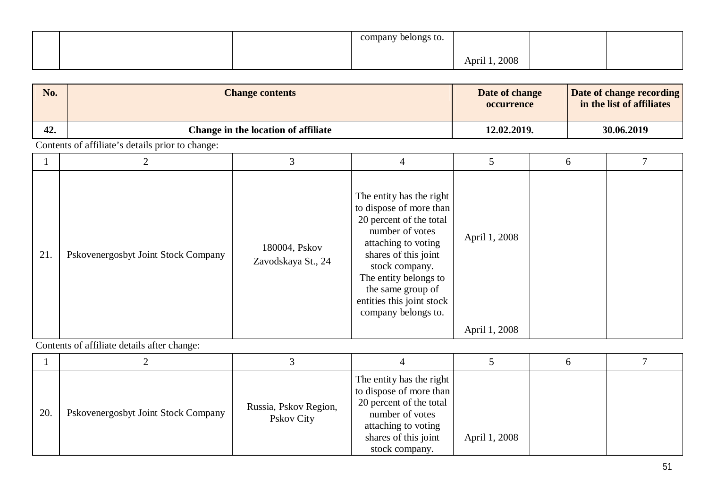|  | company belongs to. |               |  |
|--|---------------------|---------------|--|
|  |                     | April 1, 2008 |  |

| No. | <b>Change contents</b>              | Date of change<br><b>occurrence</b> | Date of change recording<br>in the list of affiliates |
|-----|-------------------------------------|-------------------------------------|-------------------------------------------------------|
| 42. | Change in the location of affiliate | 12.02.2019.                         | 30.06.2019                                            |

|     | 2                                   |                                     | 4                                                                                                                                                                                                                                                                    |               | 6 |  |
|-----|-------------------------------------|-------------------------------------|----------------------------------------------------------------------------------------------------------------------------------------------------------------------------------------------------------------------------------------------------------------------|---------------|---|--|
| 21. | Pskovenergosbyt Joint Stock Company | 180004, Pskov<br>Zavodskaya St., 24 | The entity has the right<br>to dispose of more than<br>20 percent of the total<br>number of votes<br>attaching to voting<br>shares of this joint<br>stock company.<br>The entity belongs to<br>the same group of<br>entities this joint stock<br>company belongs to. | April 1, 2008 |   |  |
|     |                                     |                                     |                                                                                                                                                                                                                                                                      | April 1, 2008 |   |  |

| 20. | Pskovenergosbyt Joint Stock Company | Russia, Pskov Region,<br>Pskov City | The entity has the right<br>to dispose of more than<br>20 percent of the total<br>number of votes<br>attaching to voting<br>shares of this joint<br>stock company. | April 1, 2008 |  |
|-----|-------------------------------------|-------------------------------------|--------------------------------------------------------------------------------------------------------------------------------------------------------------------|---------------|--|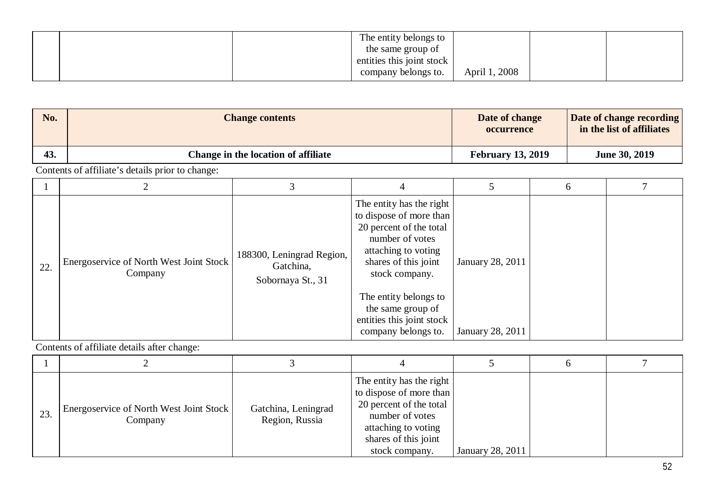|  | The entity belongs to     |               |  |
|--|---------------------------|---------------|--|
|  | the same group of         |               |  |
|  | entities this joint stock |               |  |
|  | company belongs to.       | April 1, 2008 |  |

| No. |                                                    | <b>Change contents</b>                                      |                                                                                                                                                                                                                                                                      | Date of change<br>occurrence         |   | Date of change recording<br>in the list of affiliates |
|-----|----------------------------------------------------|-------------------------------------------------------------|----------------------------------------------------------------------------------------------------------------------------------------------------------------------------------------------------------------------------------------------------------------------|--------------------------------------|---|-------------------------------------------------------|
| 43. |                                                    | Change in the location of affiliate                         |                                                                                                                                                                                                                                                                      | <b>February 13, 2019</b>             |   | <b>June 30, 2019</b>                                  |
|     | Contents of affiliate's details prior to change:   |                                                             |                                                                                                                                                                                                                                                                      |                                      |   |                                                       |
|     |                                                    | 3                                                           | 4                                                                                                                                                                                                                                                                    | 5                                    | 6 |                                                       |
| 22. | Energoservice of North West Joint Stock<br>Company | 188300, Leningrad Region,<br>Gatchina,<br>Sobornaya St., 31 | The entity has the right<br>to dispose of more than<br>20 percent of the total<br>number of votes<br>attaching to voting<br>shares of this joint<br>stock company.<br>The entity belongs to<br>the same group of<br>entities this joint stock<br>company belongs to. | January 28, 2011<br>January 28, 2011 |   |                                                       |

| 23. | Energoservice of North West Joint Stock<br>Company | Gatchina, Leningrad<br>Region, Russia | The entity has the right<br>to dispose of more than<br>20 percent of the total<br>number of votes<br>attaching to voting<br>shares of this joint<br>stock company. | January 28, 2011 |  |
|-----|----------------------------------------------------|---------------------------------------|--------------------------------------------------------------------------------------------------------------------------------------------------------------------|------------------|--|